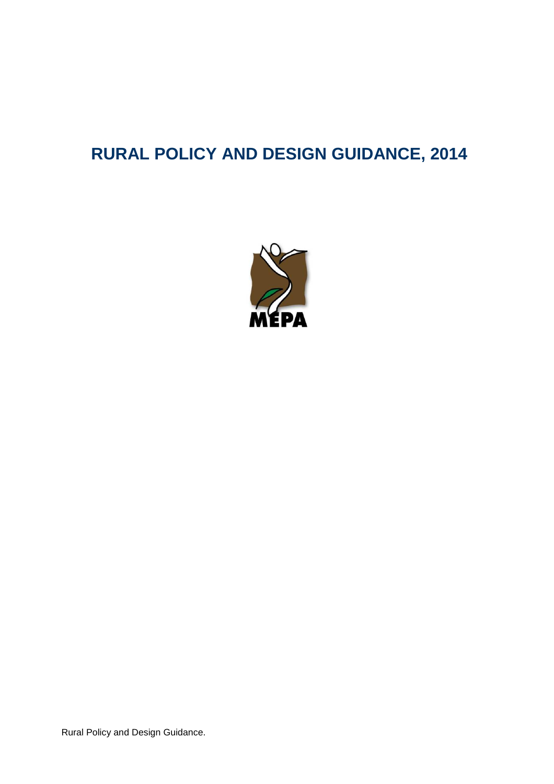# **RURAL POLICY AND DESIGN GUIDANCE, 2014**



Rural Policy and Design Guidance.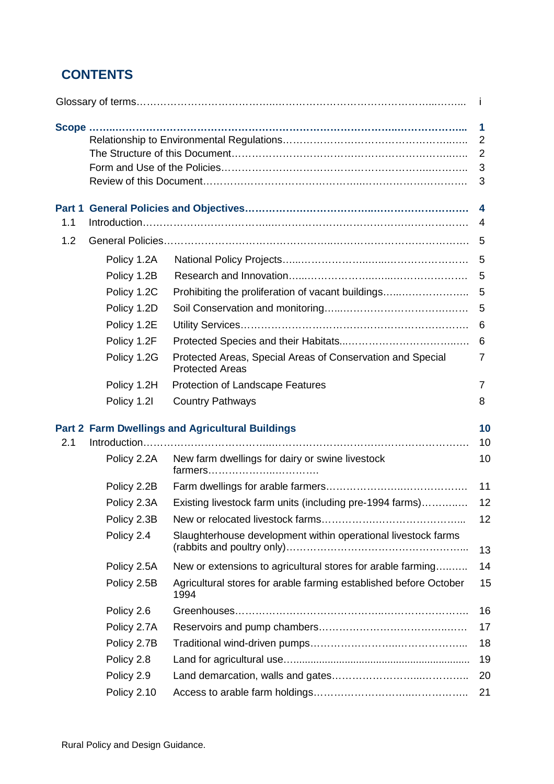# **CONTENTS**

|               |             |                                                                                                            | $\mathbf{I}$                                    |
|---------------|-------------|------------------------------------------------------------------------------------------------------------|-------------------------------------------------|
|               |             |                                                                                                            | 1<br>$\overline{2}$<br>$\overline{2}$<br>3<br>3 |
| Part 1<br>1.1 |             |                                                                                                            | 4<br>4                                          |
| 1.2           |             |                                                                                                            | 5                                               |
|               | Policy 1.2A |                                                                                                            | 5                                               |
|               | Policy 1.2B |                                                                                                            | 5                                               |
|               | Policy 1.2C | Prohibiting the proliferation of vacant buildings                                                          | 5                                               |
|               | Policy 1.2D |                                                                                                            | 5                                               |
|               | Policy 1.2E |                                                                                                            | 6                                               |
|               | Policy 1.2F |                                                                                                            | 6                                               |
|               | Policy 1.2G | Protected Areas, Special Areas of Conservation and Special<br><b>Protected Areas</b>                       | 7                                               |
|               | Policy 1.2H | Protection of Landscape Features                                                                           | 7                                               |
|               | Policy 1.2I | <b>Country Pathways</b>                                                                                    | 8                                               |
| 2.1           | Policy 2.2A | <b>Part 2 Farm Dwellings and Agricultural Buildings</b><br>New farm dwellings for dairy or swine livestock | 10<br>10<br>10                                  |
|               | Policy 2.2B |                                                                                                            | 11                                              |
|               | Policy 2.3A | Existing livestock farm units (including pre-1994 farms)                                                   | 12                                              |
|               | Policy 2.3B |                                                                                                            | 12                                              |
|               | Policy 2.4  | Slaughterhouse development within operational livestock farms                                              | 13                                              |
|               | Policy 2.5A | New or extensions to agricultural stores for arable farming                                                | 14                                              |
|               | Policy 2.5B | Agricultural stores for arable farming established before October<br>1994                                  | 15                                              |
|               | Policy 2.6  |                                                                                                            | 16                                              |
|               | Policy 2.7A |                                                                                                            | 17                                              |
|               | Policy 2.7B |                                                                                                            | 18                                              |
|               | Policy 2.8  |                                                                                                            | 19                                              |
|               | Policy 2.9  |                                                                                                            | 20                                              |
|               | Policy 2.10 |                                                                                                            | 21                                              |
|               |             |                                                                                                            |                                                 |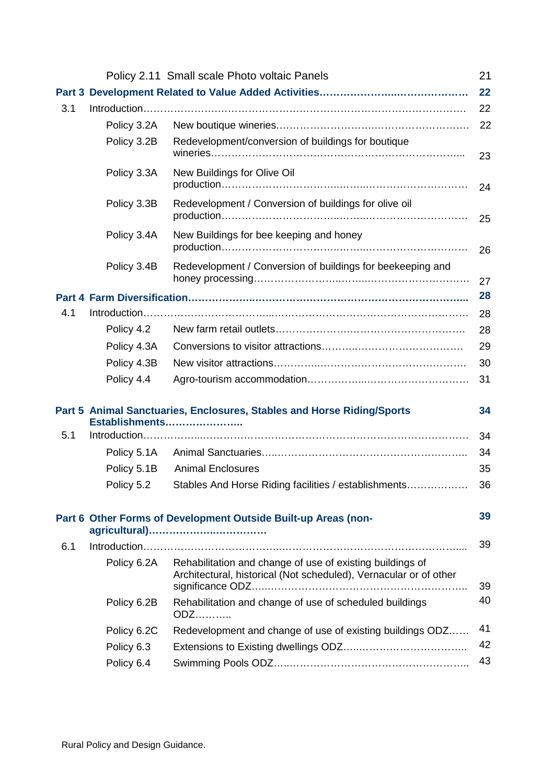|     |             | Policy 2.11 Small scale Photo voltaic Panels                                                                                   | 21 |
|-----|-------------|--------------------------------------------------------------------------------------------------------------------------------|----|
|     |             |                                                                                                                                | 22 |
| 3.1 |             |                                                                                                                                | 22 |
|     | Policy 3.2A |                                                                                                                                | 22 |
|     | Policy 3.2B | Redevelopment/conversion of buildings for boutique                                                                             | 23 |
|     | Policy 3.3A | New Buildings for Olive Oil                                                                                                    | 24 |
|     | Policy 3.3B | Redevelopment / Conversion of buildings for olive oil                                                                          | 25 |
|     | Policy 3.4A | New Buildings for bee keeping and honey                                                                                        | 26 |
|     | Policy 3.4B | Redevelopment / Conversion of buildings for beekeeping and                                                                     | 27 |
|     |             |                                                                                                                                | 28 |
| 4.1 |             |                                                                                                                                | 28 |
|     | Policy 4.2  |                                                                                                                                | 28 |
|     | Policy 4.3A |                                                                                                                                | 29 |
|     | Policy 4.3B |                                                                                                                                | 30 |
|     | Policy 4.4  |                                                                                                                                | 31 |
|     |             | Part 5 Animal Sanctuaries, Enclosures, Stables and Horse Riding/Sports<br>Establishments                                       | 34 |
| 5.1 |             |                                                                                                                                | 34 |
|     | Policy 5.1A |                                                                                                                                | 34 |
|     | Policy 5.1B | <b>Animal Enclosures</b>                                                                                                       | 35 |
|     |             | Policy 5.2 Stables And Horse Riding facilities / establishments                                                                | 36 |
|     |             | Part 6 Other Forms of Development Outside Built-up Areas (non-                                                                 | 39 |
| 6.1 |             |                                                                                                                                | 39 |
|     | Policy 6.2A | Rehabilitation and change of use of existing buildings of<br>Architectural, historical (Not scheduled), Vernacular or of other | 39 |
|     | Policy 6.2B | Rehabilitation and change of use of scheduled buildings<br><b>ODZ</b>                                                          | 40 |
|     | Policy 6.2C | Redevelopment and change of use of existing buildings ODZ                                                                      | 41 |
|     | Policy 6.3  |                                                                                                                                | 42 |
|     | Policy 6.4  |                                                                                                                                | 43 |
|     |             |                                                                                                                                |    |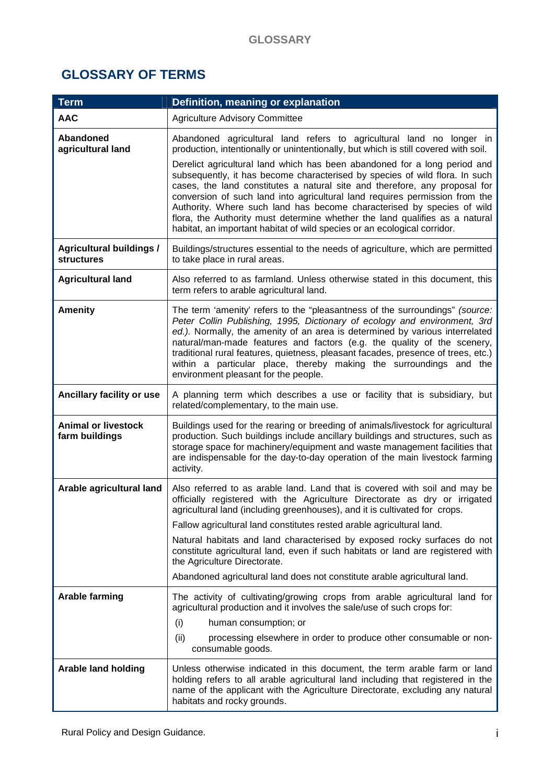# **GLOSSARY OF TERMS**

| <b>Term</b>                                          | Definition, meaning or explanation                                                                                                                                                                                                                                                                                                                                                                                                                                                                                                                         |
|------------------------------------------------------|------------------------------------------------------------------------------------------------------------------------------------------------------------------------------------------------------------------------------------------------------------------------------------------------------------------------------------------------------------------------------------------------------------------------------------------------------------------------------------------------------------------------------------------------------------|
| <b>AAC</b>                                           | <b>Agriculture Advisory Committee</b>                                                                                                                                                                                                                                                                                                                                                                                                                                                                                                                      |
| Abandoned<br>agricultural land                       | Abandoned agricultural land refers to agricultural land no longer in<br>production, intentionally or unintentionally, but which is still covered with soil.                                                                                                                                                                                                                                                                                                                                                                                                |
|                                                      | Derelict agricultural land which has been abandoned for a long period and<br>subsequently, it has become characterised by species of wild flora. In such<br>cases, the land constitutes a natural site and therefore, any proposal for<br>conversion of such land into agricultural land requires permission from the<br>Authority. Where such land has become characterised by species of wild<br>flora, the Authority must determine whether the land qualifies as a natural<br>habitat, an important habitat of wild species or an ecological corridor. |
| <b>Agricultural buildings /</b><br><b>structures</b> | Buildings/structures essential to the needs of agriculture, which are permitted<br>to take place in rural areas.                                                                                                                                                                                                                                                                                                                                                                                                                                           |
| <b>Agricultural land</b>                             | Also referred to as farmland. Unless otherwise stated in this document, this<br>term refers to arable agricultural land.                                                                                                                                                                                                                                                                                                                                                                                                                                   |
| <b>Amenity</b>                                       | The term 'amenity' refers to the "pleasantness of the surroundings" (source:<br>Peter Collin Publishing, 1995, Dictionary of ecology and environment, 3rd<br>ed.). Normally, the amenity of an area is determined by various interrelated<br>natural/man-made features and factors (e.g. the quality of the scenery,<br>traditional rural features, quietness, pleasant facades, presence of trees, etc.)<br>within a particular place, thereby making the surroundings and the<br>environment pleasant for the people.                                    |
| Ancillary facility or use                            | A planning term which describes a use or facility that is subsidiary, but<br>related/complementary, to the main use.                                                                                                                                                                                                                                                                                                                                                                                                                                       |
| <b>Animal or livestock</b><br>farm buildings         | Buildings used for the rearing or breeding of animals/livestock for agricultural<br>production. Such buildings include ancillary buildings and structures, such as<br>storage space for machinery/equipment and waste management facilities that<br>are indispensable for the day-to-day operation of the main livestock farming<br>activity.                                                                                                                                                                                                              |
| Arable agricultural land                             | Also referred to as arable land. Land that is covered with soil and may be<br>officially registered with the Agriculture Directorate as dry or irrigated<br>agricultural land (including greenhouses), and it is cultivated for crops.                                                                                                                                                                                                                                                                                                                     |
|                                                      | Fallow agricultural land constitutes rested arable agricultural land.                                                                                                                                                                                                                                                                                                                                                                                                                                                                                      |
|                                                      | Natural habitats and land characterised by exposed rocky surfaces do not<br>constitute agricultural land, even if such habitats or land are registered with<br>the Agriculture Directorate.                                                                                                                                                                                                                                                                                                                                                                |
|                                                      | Abandoned agricultural land does not constitute arable agricultural land.                                                                                                                                                                                                                                                                                                                                                                                                                                                                                  |
| <b>Arable farming</b>                                | The activity of cultivating/growing crops from arable agricultural land for<br>agricultural production and it involves the sale/use of such crops for:<br>(i)<br>human consumption; or                                                                                                                                                                                                                                                                                                                                                                     |
|                                                      | processing elsewhere in order to produce other consumable or non-<br>(ii)<br>consumable goods.                                                                                                                                                                                                                                                                                                                                                                                                                                                             |
| <b>Arable land holding</b>                           | Unless otherwise indicated in this document, the term arable farm or land<br>holding refers to all arable agricultural land including that registered in the<br>name of the applicant with the Agriculture Directorate, excluding any natural<br>habitats and rocky grounds.                                                                                                                                                                                                                                                                               |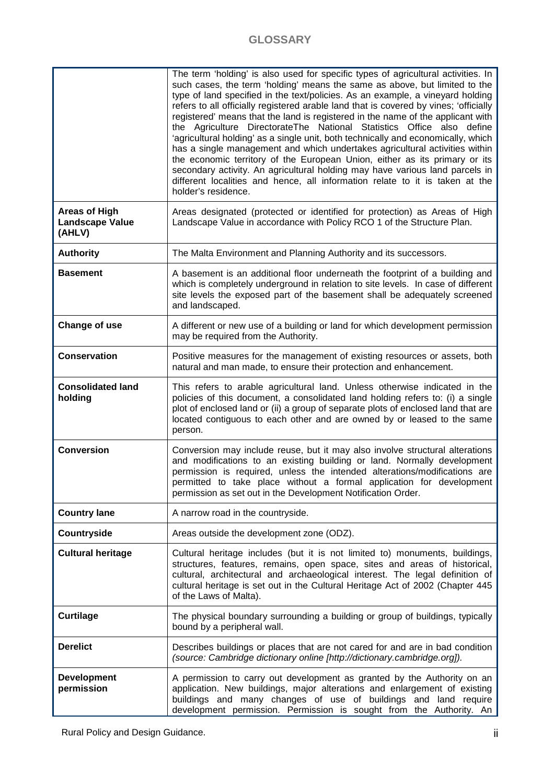## **GLOSSARY**

|                                                          | The term 'holding' is also used for specific types of agricultural activities. In<br>such cases, the term 'holding' means the same as above, but limited to the<br>type of land specified in the text/policies. As an example, a vineyard holding<br>refers to all officially registered arable land that is covered by vines; 'officially<br>registered' means that the land is registered in the name of the applicant with<br>the Agriculture DirectorateThe National Statistics Office also define<br>'agricultural holding' as a single unit, both technically and economically, which<br>has a single management and which undertakes agricultural activities within<br>the economic territory of the European Union, either as its primary or its<br>secondary activity. An agricultural holding may have various land parcels in<br>different localities and hence, all information relate to it is taken at the<br>holder's residence. |
|----------------------------------------------------------|-------------------------------------------------------------------------------------------------------------------------------------------------------------------------------------------------------------------------------------------------------------------------------------------------------------------------------------------------------------------------------------------------------------------------------------------------------------------------------------------------------------------------------------------------------------------------------------------------------------------------------------------------------------------------------------------------------------------------------------------------------------------------------------------------------------------------------------------------------------------------------------------------------------------------------------------------|
| <b>Areas of High</b><br><b>Landscape Value</b><br>(AHLV) | Areas designated (protected or identified for protection) as Areas of High<br>Landscape Value in accordance with Policy RCO 1 of the Structure Plan.                                                                                                                                                                                                                                                                                                                                                                                                                                                                                                                                                                                                                                                                                                                                                                                            |
| <b>Authority</b>                                         | The Malta Environment and Planning Authority and its successors.                                                                                                                                                                                                                                                                                                                                                                                                                                                                                                                                                                                                                                                                                                                                                                                                                                                                                |
| <b>Basement</b>                                          | A basement is an additional floor underneath the footprint of a building and<br>which is completely underground in relation to site levels. In case of different<br>site levels the exposed part of the basement shall be adequately screened<br>and landscaped.                                                                                                                                                                                                                                                                                                                                                                                                                                                                                                                                                                                                                                                                                |
| Change of use                                            | A different or new use of a building or land for which development permission<br>may be required from the Authority.                                                                                                                                                                                                                                                                                                                                                                                                                                                                                                                                                                                                                                                                                                                                                                                                                            |
| <b>Conservation</b>                                      | Positive measures for the management of existing resources or assets, both<br>natural and man made, to ensure their protection and enhancement.                                                                                                                                                                                                                                                                                                                                                                                                                                                                                                                                                                                                                                                                                                                                                                                                 |
| <b>Consolidated land</b><br>holding                      | This refers to arable agricultural land. Unless otherwise indicated in the<br>policies of this document, a consolidated land holding refers to: (i) a single<br>plot of enclosed land or (ii) a group of separate plots of enclosed land that are<br>located contiguous to each other and are owned by or leased to the same<br>person.                                                                                                                                                                                                                                                                                                                                                                                                                                                                                                                                                                                                         |
| <b>Conversion</b>                                        | Conversion may include reuse, but it may also involve structural alterations<br>and modifications to an existing building or land. Normally development<br>permission is required, unless the intended alterations/modifications are<br>permitted to take place without a formal application for development<br>permission as set out in the Development Notification Order.                                                                                                                                                                                                                                                                                                                                                                                                                                                                                                                                                                    |
| <b>Country lane</b>                                      | A narrow road in the countryside.                                                                                                                                                                                                                                                                                                                                                                                                                                                                                                                                                                                                                                                                                                                                                                                                                                                                                                               |
| Countryside                                              | Areas outside the development zone (ODZ).                                                                                                                                                                                                                                                                                                                                                                                                                                                                                                                                                                                                                                                                                                                                                                                                                                                                                                       |
| <b>Cultural heritage</b>                                 | Cultural heritage includes (but it is not limited to) monuments, buildings,<br>structures, features, remains, open space, sites and areas of historical,<br>cultural, architectural and archaeological interest. The legal definition of<br>cultural heritage is set out in the Cultural Heritage Act of 2002 (Chapter 445<br>of the Laws of Malta).                                                                                                                                                                                                                                                                                                                                                                                                                                                                                                                                                                                            |
| <b>Curtilage</b>                                         | The physical boundary surrounding a building or group of buildings, typically<br>bound by a peripheral wall.                                                                                                                                                                                                                                                                                                                                                                                                                                                                                                                                                                                                                                                                                                                                                                                                                                    |
| <b>Derelict</b>                                          | Describes buildings or places that are not cared for and are in bad condition<br>(source: Cambridge dictionary online [http://dictionary.cambridge.org]).                                                                                                                                                                                                                                                                                                                                                                                                                                                                                                                                                                                                                                                                                                                                                                                       |
| <b>Development</b><br>permission                         | A permission to carry out development as granted by the Authority on an<br>application. New buildings, major alterations and enlargement of existing<br>buildings and many changes of use of buildings and land require<br>development permission. Permission is sought from the Authority. An                                                                                                                                                                                                                                                                                                                                                                                                                                                                                                                                                                                                                                                  |

Rural Policy and Design Guidance. iii is a state of the state of the state of the state of the state of the state of the state of the state of the state of the state of the state of the state of the state of the state of t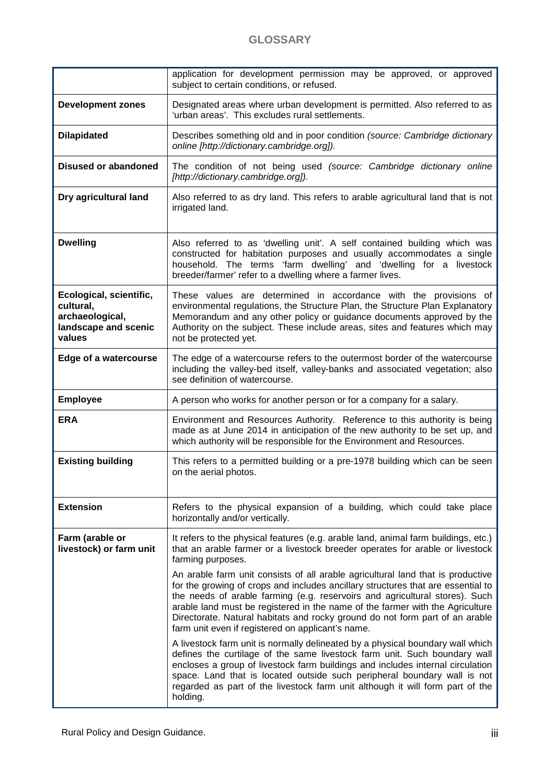|                                                                                           | application for development permission may be approved, or approved<br>subject to certain conditions, or refused.                                                                                                                                                                                                                                                                                                                                                        |
|-------------------------------------------------------------------------------------------|--------------------------------------------------------------------------------------------------------------------------------------------------------------------------------------------------------------------------------------------------------------------------------------------------------------------------------------------------------------------------------------------------------------------------------------------------------------------------|
| <b>Development zones</b>                                                                  | Designated areas where urban development is permitted. Also referred to as<br>'urban areas'. This excludes rural settlements.                                                                                                                                                                                                                                                                                                                                            |
| <b>Dilapidated</b>                                                                        | Describes something old and in poor condition (source: Cambridge dictionary<br>online [http://dictionary.cambridge.org]).                                                                                                                                                                                                                                                                                                                                                |
| <b>Disused or abandoned</b>                                                               | The condition of not being used (source: Cambridge dictionary online<br>[http://dictionary.cambridge.org]).                                                                                                                                                                                                                                                                                                                                                              |
| Dry agricultural land                                                                     | Also referred to as dry land. This refers to arable agricultural land that is not<br>irrigated land.                                                                                                                                                                                                                                                                                                                                                                     |
| <b>Dwelling</b>                                                                           | Also referred to as 'dwelling unit'. A self contained building which was<br>constructed for habitation purposes and usually accommodates a single<br>household. The terms 'farm dwelling' and 'dwelling for a livestock<br>breeder/farmer' refer to a dwelling where a farmer lives.                                                                                                                                                                                     |
| Ecological, scientific,<br>cultural,<br>archaeological,<br>landscape and scenic<br>values | These values are determined in accordance with the provisions of<br>environmental regulations, the Structure Plan, the Structure Plan Explanatory<br>Memorandum and any other policy or guidance documents approved by the<br>Authority on the subject. These include areas, sites and features which may<br>not be protected yet.                                                                                                                                       |
| <b>Edge of a watercourse</b>                                                              | The edge of a watercourse refers to the outermost border of the watercourse<br>including the valley-bed itself, valley-banks and associated vegetation; also<br>see definition of watercourse.                                                                                                                                                                                                                                                                           |
| <b>Employee</b>                                                                           | A person who works for another person or for a company for a salary.                                                                                                                                                                                                                                                                                                                                                                                                     |
| <b>ERA</b>                                                                                | Environment and Resources Authority. Reference to this authority is being<br>made as at June 2014 in anticipation of the new authority to be set up, and<br>which authority will be responsible for the Environment and Resources.                                                                                                                                                                                                                                       |
| <b>Existing building</b>                                                                  | This refers to a permitted building or a pre-1978 building which can be seen<br>on the aerial photos.                                                                                                                                                                                                                                                                                                                                                                    |
| <b>Extension</b>                                                                          | Refers to the physical expansion of a building, which could take place<br>horizontally and/or vertically.                                                                                                                                                                                                                                                                                                                                                                |
| Farm (arable or<br>livestock) or farm unit                                                | It refers to the physical features (e.g. arable land, animal farm buildings, etc.)<br>that an arable farmer or a livestock breeder operates for arable or livestock<br>farming purposes.                                                                                                                                                                                                                                                                                 |
|                                                                                           | An arable farm unit consists of all arable agricultural land that is productive<br>for the growing of crops and includes ancillary structures that are essential to<br>the needs of arable farming (e.g. reservoirs and agricultural stores). Such<br>arable land must be registered in the name of the farmer with the Agriculture<br>Directorate. Natural habitats and rocky ground do not form part of an arable<br>farm unit even if registered on applicant's name. |
|                                                                                           | A livestock farm unit is normally delineated by a physical boundary wall which<br>defines the curtilage of the same livestock farm unit. Such boundary wall<br>encloses a group of livestock farm buildings and includes internal circulation<br>space. Land that is located outside such peripheral boundary wall is not<br>regarded as part of the livestock farm unit although it will form part of the<br>holding.                                                   |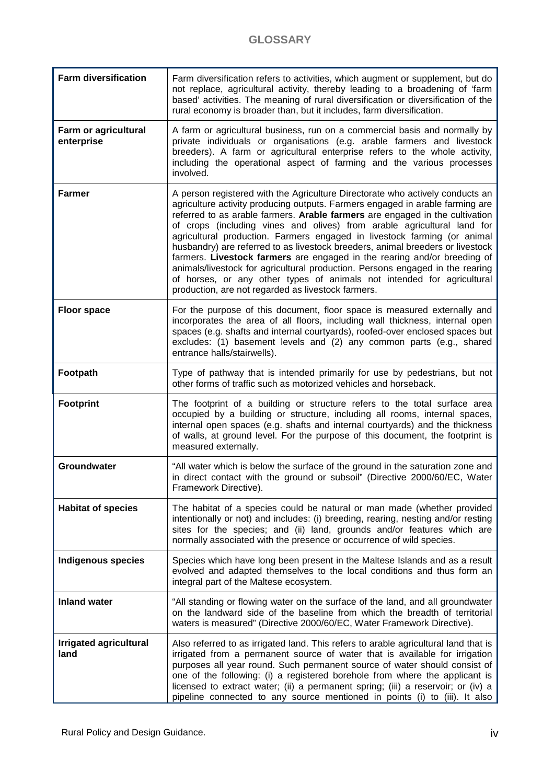| <b>Farm diversification</b>           | Farm diversification refers to activities, which augment or supplement, but do<br>not replace, agricultural activity, thereby leading to a broadening of 'farm<br>based' activities. The meaning of rural diversification or diversification of the<br>rural economy is broader than, but it includes, farm diversification.                                                                                                                                                                                                                                                                                                                                                                                                                                                         |
|---------------------------------------|--------------------------------------------------------------------------------------------------------------------------------------------------------------------------------------------------------------------------------------------------------------------------------------------------------------------------------------------------------------------------------------------------------------------------------------------------------------------------------------------------------------------------------------------------------------------------------------------------------------------------------------------------------------------------------------------------------------------------------------------------------------------------------------|
| Farm or agricultural<br>enterprise    | A farm or agricultural business, run on a commercial basis and normally by<br>private individuals or organisations (e.g. arable farmers and livestock<br>breeders). A farm or agricultural enterprise refers to the whole activity,<br>including the operational aspect of farming and the various processes<br>involved.                                                                                                                                                                                                                                                                                                                                                                                                                                                            |
| <b>Farmer</b>                         | A person registered with the Agriculture Directorate who actively conducts an<br>agriculture activity producing outputs. Farmers engaged in arable farming are<br>referred to as arable farmers. Arable farmers are engaged in the cultivation<br>of crops (including vines and olives) from arable agricultural land for<br>agricultural production. Farmers engaged in livestock farming (or animal<br>husbandry) are referred to as livestock breeders, animal breeders or livestock<br>farmers. Livestock farmers are engaged in the rearing and/or breeding of<br>animals/livestock for agricultural production. Persons engaged in the rearing<br>of horses, or any other types of animals not intended for agricultural<br>production, are not regarded as livestock farmers. |
| <b>Floor space</b>                    | For the purpose of this document, floor space is measured externally and<br>incorporates the area of all floors, including wall thickness, internal open<br>spaces (e.g. shafts and internal courtyards), roofed-over enclosed spaces but<br>excludes: (1) basement levels and (2) any common parts (e.g., shared<br>entrance halls/stairwells).                                                                                                                                                                                                                                                                                                                                                                                                                                     |
| Footpath                              | Type of pathway that is intended primarily for use by pedestrians, but not<br>other forms of traffic such as motorized vehicles and horseback.                                                                                                                                                                                                                                                                                                                                                                                                                                                                                                                                                                                                                                       |
| <b>Footprint</b>                      | The footprint of a building or structure refers to the total surface area<br>occupied by a building or structure, including all rooms, internal spaces,<br>internal open spaces (e.g. shafts and internal courtyards) and the thickness<br>of walls, at ground level. For the purpose of this document, the footprint is<br>measured externally.                                                                                                                                                                                                                                                                                                                                                                                                                                     |
| Groundwater                           | "All water which is below the surface of the ground in the saturation zone and<br>in direct contact with the ground or subsoil" (Directive 2000/60/EC, Water<br>Framework Directive).                                                                                                                                                                                                                                                                                                                                                                                                                                                                                                                                                                                                |
| <b>Habitat of species</b>             | The habitat of a species could be natural or man made (whether provided<br>intentionally or not) and includes: (i) breeding, rearing, nesting and/or resting<br>sites for the species; and (ii) land, grounds and/or features which are<br>normally associated with the presence or occurrence of wild species.                                                                                                                                                                                                                                                                                                                                                                                                                                                                      |
| <b>Indigenous species</b>             | Species which have long been present in the Maltese Islands and as a result<br>evolved and adapted themselves to the local conditions and thus form an<br>integral part of the Maltese ecosystem.                                                                                                                                                                                                                                                                                                                                                                                                                                                                                                                                                                                    |
| <b>Inland water</b>                   | "All standing or flowing water on the surface of the land, and all groundwater<br>on the landward side of the baseline from which the breadth of territorial<br>waters is measured" (Directive 2000/60/EC, Water Framework Directive).                                                                                                                                                                                                                                                                                                                                                                                                                                                                                                                                               |
| <b>Irrigated agricultural</b><br>land | Also referred to as irrigated land. This refers to arable agricultural land that is<br>irrigated from a permanent source of water that is available for irrigation<br>purposes all year round. Such permanent source of water should consist of<br>one of the following: (i) a registered borehole from where the applicant is<br>licensed to extract water; (ii) a permanent spring; (iii) a reservoir; or (iv) a<br>pipeline connected to any source mentioned in points (i) to (iii). It also                                                                                                                                                                                                                                                                                     |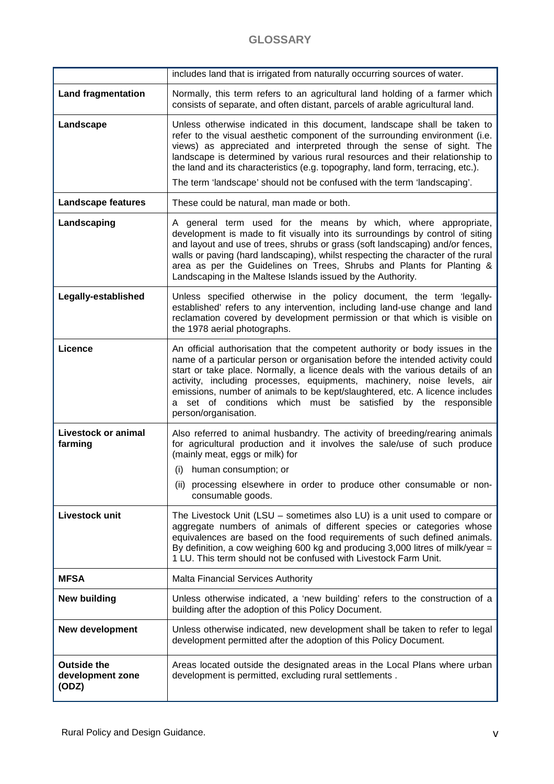#### **GLOSSARY**

|                                                 | includes land that is irrigated from naturally occurring sources of water.                                                                                                                                                                                                                                                                                                                                                                                                                            |  |
|-------------------------------------------------|-------------------------------------------------------------------------------------------------------------------------------------------------------------------------------------------------------------------------------------------------------------------------------------------------------------------------------------------------------------------------------------------------------------------------------------------------------------------------------------------------------|--|
| <b>Land fragmentation</b>                       | Normally, this term refers to an agricultural land holding of a farmer which<br>consists of separate, and often distant, parcels of arable agricultural land.                                                                                                                                                                                                                                                                                                                                         |  |
| Landscape                                       | Unless otherwise indicated in this document, landscape shall be taken to<br>refer to the visual aesthetic component of the surrounding environment (i.e.<br>views) as appreciated and interpreted through the sense of sight. The<br>landscape is determined by various rural resources and their relationship to<br>the land and its characteristics (e.g. topography, land form, terracing, etc.).<br>The term 'landscape' should not be confused with the term 'landscaping'.                      |  |
| <b>Landscape features</b>                       | These could be natural, man made or both.                                                                                                                                                                                                                                                                                                                                                                                                                                                             |  |
| Landscaping                                     | A general term used for the means by which, where appropriate,<br>development is made to fit visually into its surroundings by control of siting<br>and layout and use of trees, shrubs or grass (soft landscaping) and/or fences,<br>walls or paving (hard landscaping), whilst respecting the character of the rural<br>area as per the Guidelines on Trees, Shrubs and Plants for Planting &<br>Landscaping in the Maltese Islands issued by the Authority.                                        |  |
| Legally-established                             | Unless specified otherwise in the policy document, the term 'legally-<br>established' refers to any intervention, including land-use change and land<br>reclamation covered by development permission or that which is visible on<br>the 1978 aerial photographs.                                                                                                                                                                                                                                     |  |
| Licence                                         | An official authorisation that the competent authority or body issues in the<br>name of a particular person or organisation before the intended activity could<br>start or take place. Normally, a licence deals with the various details of an<br>activity, including processes, equipments, machinery, noise levels, air<br>emissions, number of animals to be kept/slaughtered, etc. A licence includes<br>set of conditions which must be satisfied<br>by the responsible<br>person/organisation. |  |
| <b>Livestock or animal</b><br>farming           | Also referred to animal husbandry. The activity of breeding/rearing animals<br>for agricultural production and it involves the sale/use of such produce<br>(mainly meat, eggs or milk) for<br>human consumption; or<br>(i)<br>(ii) processing elsewhere in order to produce other consumable or non-                                                                                                                                                                                                  |  |
|                                                 | consumable goods.                                                                                                                                                                                                                                                                                                                                                                                                                                                                                     |  |
| Livestock unit                                  | The Livestock Unit (LSU $-$ sometimes also LU) is a unit used to compare or<br>aggregate numbers of animals of different species or categories whose<br>equivalences are based on the food requirements of such defined animals.<br>By definition, a cow weighing 600 kg and producing 3,000 litres of milk/year $=$<br>1 LU. This term should not be confused with Livestock Farm Unit.                                                                                                              |  |
| <b>MFSA</b>                                     | <b>Malta Financial Services Authority</b>                                                                                                                                                                                                                                                                                                                                                                                                                                                             |  |
| <b>New building</b>                             | Unless otherwise indicated, a 'new building' refers to the construction of a<br>building after the adoption of this Policy Document.                                                                                                                                                                                                                                                                                                                                                                  |  |
| New development                                 | Unless otherwise indicated, new development shall be taken to refer to legal<br>development permitted after the adoption of this Policy Document.                                                                                                                                                                                                                                                                                                                                                     |  |
| <b>Outside the</b><br>development zone<br>(ODZ) | Areas located outside the designated areas in the Local Plans where urban<br>development is permitted, excluding rural settlements.                                                                                                                                                                                                                                                                                                                                                                   |  |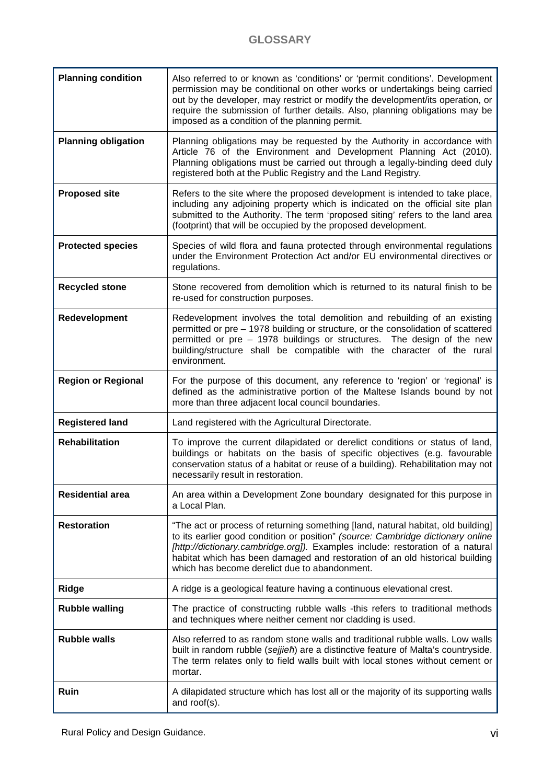| <b>Planning condition</b>  | Also referred to or known as 'conditions' or 'permit conditions'. Development<br>permission may be conditional on other works or undertakings being carried<br>out by the developer, may restrict or modify the development/its operation, or<br>require the submission of further details. Also, planning obligations may be<br>imposed as a condition of the planning permit.        |
|----------------------------|----------------------------------------------------------------------------------------------------------------------------------------------------------------------------------------------------------------------------------------------------------------------------------------------------------------------------------------------------------------------------------------|
| <b>Planning obligation</b> | Planning obligations may be requested by the Authority in accordance with<br>Article 76 of the Environment and Development Planning Act (2010).<br>Planning obligations must be carried out through a legally-binding deed duly<br>registered both at the Public Registry and the Land Registry.                                                                                       |
| <b>Proposed site</b>       | Refers to the site where the proposed development is intended to take place,<br>including any adjoining property which is indicated on the official site plan<br>submitted to the Authority. The term 'proposed siting' refers to the land area<br>(footprint) that will be occupied by the proposed development.                                                                      |
| <b>Protected species</b>   | Species of wild flora and fauna protected through environmental regulations<br>under the Environment Protection Act and/or EU environmental directives or<br>regulations.                                                                                                                                                                                                              |
| <b>Recycled stone</b>      | Stone recovered from demolition which is returned to its natural finish to be<br>re-used for construction purposes.                                                                                                                                                                                                                                                                    |
| Redevelopment              | Redevelopment involves the total demolition and rebuilding of an existing<br>permitted or pre - 1978 building or structure, or the consolidation of scattered<br>permitted or pre - 1978 buildings or structures. The design of the new<br>building/structure shall be compatible with the character of the rural<br>environment.                                                      |
| <b>Region or Regional</b>  | For the purpose of this document, any reference to 'region' or 'regional' is<br>defined as the administrative portion of the Maltese Islands bound by not<br>more than three adjacent local council boundaries.                                                                                                                                                                        |
| <b>Registered land</b>     | Land registered with the Agricultural Directorate.                                                                                                                                                                                                                                                                                                                                     |
| <b>Rehabilitation</b>      | To improve the current dilapidated or derelict conditions or status of land,<br>buildings or habitats on the basis of specific objectives (e.g. favourable<br>conservation status of a habitat or reuse of a building). Rehabilitation may not<br>necessarily result in restoration.                                                                                                   |
| <b>Residential area</b>    | An area within a Development Zone boundary designated for this purpose in<br>a Local Plan.                                                                                                                                                                                                                                                                                             |
| <b>Restoration</b>         | "The act or process of returning something [land, natural habitat, old building]<br>to its earlier good condition or position" (source: Cambridge dictionary online<br>[http://dictionary.cambridge.org]). Examples include: restoration of a natural<br>habitat which has been damaged and restoration of an old historical building<br>which has become derelict due to abandonment. |
| Ridge                      | A ridge is a geological feature having a continuous elevational crest.                                                                                                                                                                                                                                                                                                                 |
| <b>Rubble walling</b>      | The practice of constructing rubble walls -this refers to traditional methods<br>and techniques where neither cement nor cladding is used.                                                                                                                                                                                                                                             |
| <b>Rubble walls</b>        | Also referred to as random stone walls and traditional rubble walls. Low walls<br>built in random rubble (sejjieh) are a distinctive feature of Malta's countryside.<br>The term relates only to field walls built with local stones without cement or<br>mortar.                                                                                                                      |
| Ruin                       | A dilapidated structure which has lost all or the majority of its supporting walls<br>and roof(s).                                                                                                                                                                                                                                                                                     |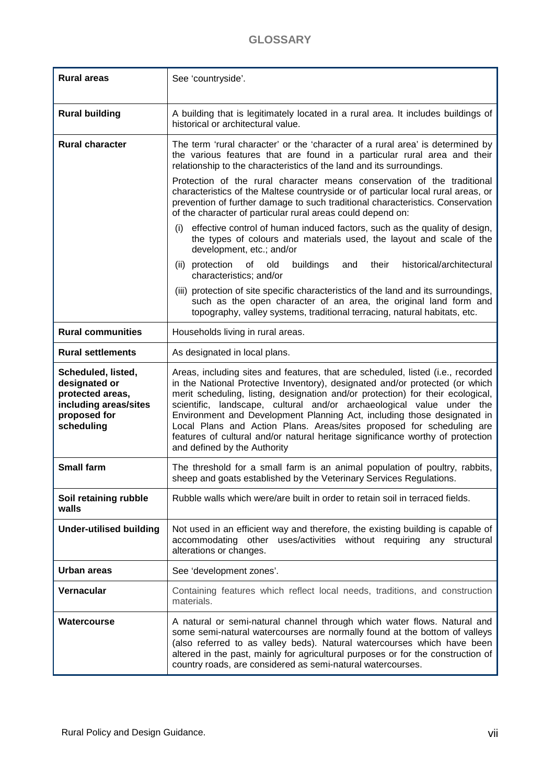#### **GLOSSARY**

| <b>Rural areas</b><br>See 'countryside'.                                                                       |                                                                                                                                                                                                                                                                                                                                                                                                                                                                                                                                                                                                   |  |
|----------------------------------------------------------------------------------------------------------------|---------------------------------------------------------------------------------------------------------------------------------------------------------------------------------------------------------------------------------------------------------------------------------------------------------------------------------------------------------------------------------------------------------------------------------------------------------------------------------------------------------------------------------------------------------------------------------------------------|--|
| <b>Rural building</b>                                                                                          | A building that is legitimately located in a rural area. It includes buildings of<br>historical or architectural value.                                                                                                                                                                                                                                                                                                                                                                                                                                                                           |  |
| <b>Rural character</b>                                                                                         | The term 'rural character' or the 'character of a rural area' is determined by<br>the various features that are found in a particular rural area and their<br>relationship to the characteristics of the land and its surroundings.                                                                                                                                                                                                                                                                                                                                                               |  |
|                                                                                                                | Protection of the rural character means conservation of the traditional<br>characteristics of the Maltese countryside or of particular local rural areas, or<br>prevention of further damage to such traditional characteristics. Conservation<br>of the character of particular rural areas could depend on:                                                                                                                                                                                                                                                                                     |  |
|                                                                                                                | effective control of human induced factors, such as the quality of design,<br>(i)<br>the types of colours and materials used, the layout and scale of the<br>development, etc.; and/or                                                                                                                                                                                                                                                                                                                                                                                                            |  |
|                                                                                                                | buildings<br>historical/architectural<br>(ii) protection<br>of<br>old<br>their<br>and<br>characteristics; and/or                                                                                                                                                                                                                                                                                                                                                                                                                                                                                  |  |
|                                                                                                                | (iii) protection of site specific characteristics of the land and its surroundings,<br>such as the open character of an area, the original land form and<br>topography, valley systems, traditional terracing, natural habitats, etc.                                                                                                                                                                                                                                                                                                                                                             |  |
| <b>Rural communities</b>                                                                                       | Households living in rural areas.                                                                                                                                                                                                                                                                                                                                                                                                                                                                                                                                                                 |  |
| <b>Rural settlements</b>                                                                                       | As designated in local plans.                                                                                                                                                                                                                                                                                                                                                                                                                                                                                                                                                                     |  |
| Scheduled, listed,<br>designated or<br>protected areas,<br>including areas/sites<br>proposed for<br>scheduling | Areas, including sites and features, that are scheduled, listed (i.e., recorded<br>in the National Protective Inventory), designated and/or protected (or which<br>merit scheduling, listing, designation and/or protection) for their ecological,<br>scientific, landscape, cultural and/or archaeological value under the<br>Environment and Development Planning Act, including those designated in<br>Local Plans and Action Plans. Areas/sites proposed for scheduling are<br>features of cultural and/or natural heritage significance worthy of protection<br>and defined by the Authority |  |
| <b>Small farm</b>                                                                                              | The threshold for a small farm is an animal population of poultry, rabbits,<br>sheep and goats established by the Veterinary Services Regulations.                                                                                                                                                                                                                                                                                                                                                                                                                                                |  |
| Soil retaining rubble<br>walls                                                                                 | Rubble walls which were/are built in order to retain soil in terraced fields.                                                                                                                                                                                                                                                                                                                                                                                                                                                                                                                     |  |
| <b>Under-utilised building</b>                                                                                 | Not used in an efficient way and therefore, the existing building is capable of<br>accommodating other uses/activities without requiring any structural<br>alterations or changes.                                                                                                                                                                                                                                                                                                                                                                                                                |  |
| <b>Urban areas</b>                                                                                             | See 'development zones'.                                                                                                                                                                                                                                                                                                                                                                                                                                                                                                                                                                          |  |
| <b>Vernacular</b>                                                                                              | Containing features which reflect local needs, traditions, and construction<br>materials.                                                                                                                                                                                                                                                                                                                                                                                                                                                                                                         |  |
| Watercourse                                                                                                    | A natural or semi-natural channel through which water flows. Natural and<br>some semi-natural watercourses are normally found at the bottom of valleys<br>(also referred to as valley beds). Natural watercourses which have been<br>altered in the past, mainly for agricultural purposes or for the construction of<br>country roads, are considered as semi-natural watercourses.                                                                                                                                                                                                              |  |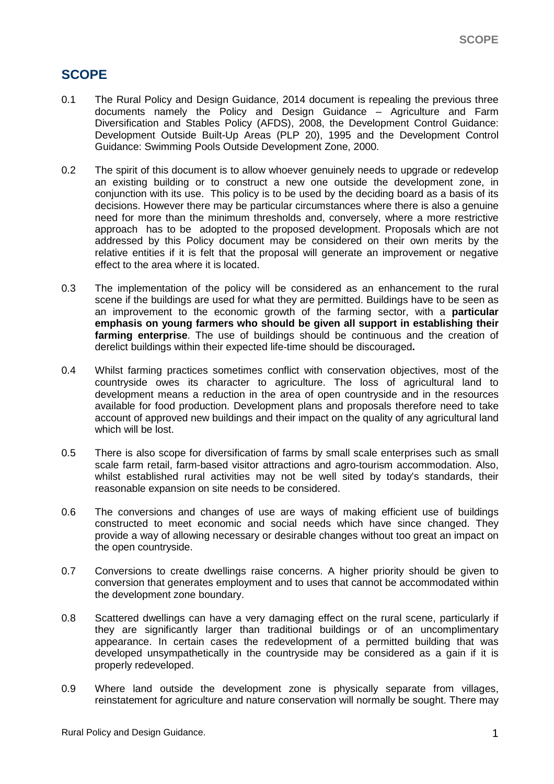# **SCOPE**

- 0.1 The Rural Policy and Design Guidance, 2014 document is repealing the previous three documents namely the Policy and Design Guidance – Agriculture and Farm Diversification and Stables Policy (AFDS), 2008, the Development Control Guidance: Development Outside Built-Up Areas (PLP 20), 1995 and the Development Control Guidance: Swimming Pools Outside Development Zone, 2000.
- 0.2 The spirit of this document is to allow whoever genuinely needs to upgrade or redevelop an existing building or to construct a new one outside the development zone, in conjunction with its use. This policy is to be used by the deciding board as a basis of its decisions. However there may be particular circumstances where there is also a genuine need for more than the minimum thresholds and, conversely, where a more restrictive approach has to be adopted to the proposed development. Proposals which are not addressed by this Policy document may be considered on their own merits by the relative entities if it is felt that the proposal will generate an improvement or negative effect to the area where it is located.
- 0.3 The implementation of the policy will be considered as an enhancement to the rural scene if the buildings are used for what they are permitted. Buildings have to be seen as an improvement to the economic growth of the farming sector, with a **particular emphasis on young farmers who should be given all support in establishing their farming enterprise**. The use of buildings should be continuous and the creation of derelict buildings within their expected life-time should be discouraged**.**
- 0.4 Whilst farming practices sometimes conflict with conservation objectives, most of the countryside owes its character to agriculture. The loss of agricultural land to development means a reduction in the area of open countryside and in the resources available for food production. Development plans and proposals therefore need to take account of approved new buildings and their impact on the quality of any agricultural land which will be lost.
- 0.5 There is also scope for diversification of farms by small scale enterprises such as small scale farm retail, farm-based visitor attractions and agro-tourism accommodation. Also, whilst established rural activities may not be well sited by today's standards, their reasonable expansion on site needs to be considered.
- 0.6 The conversions and changes of use are ways of making efficient use of buildings constructed to meet economic and social needs which have since changed. They provide a way of allowing necessary or desirable changes without too great an impact on the open countryside.
- 0.7 Conversions to create dwellings raise concerns. A higher priority should be given to conversion that generates employment and to uses that cannot be accommodated within the development zone boundary.
- 0.8 Scattered dwellings can have a very damaging effect on the rural scene, particularly if they are significantly larger than traditional buildings or of an uncomplimentary appearance. In certain cases the redevelopment of a permitted building that was developed unsympathetically in the countryside may be considered as a gain if it is properly redeveloped.
- 0.9 Where land outside the development zone is physically separate from villages, reinstatement for agriculture and nature conservation will normally be sought. There may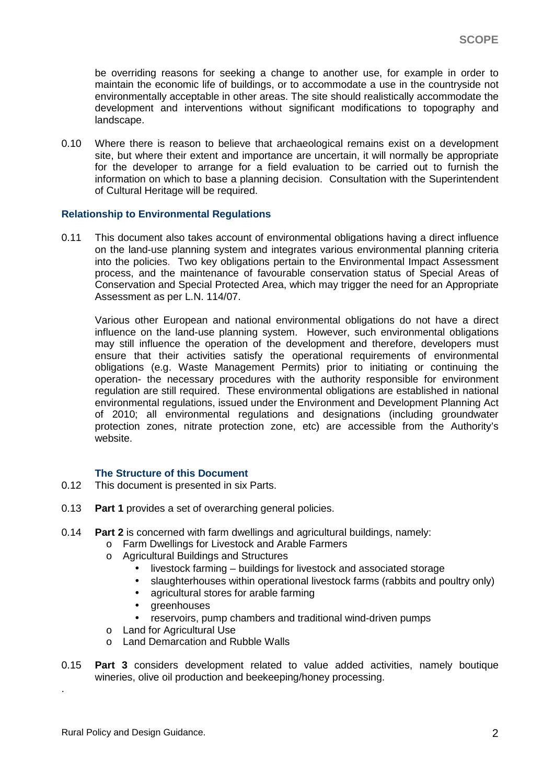be overriding reasons for seeking a change to another use, for example in order to maintain the economic life of buildings, or to accommodate a use in the countryside not environmentally acceptable in other areas. The site should realistically accommodate the development and interventions without significant modifications to topography and landscape.

0.10 Where there is reason to believe that archaeological remains exist on a development site, but where their extent and importance are uncertain, it will normally be appropriate for the developer to arrange for a field evaluation to be carried out to furnish the information on which to base a planning decision. Consultation with the Superintendent of Cultural Heritage will be required.

#### **Relationship to Environmental Regulations**

0.11 This document also takes account of environmental obligations having a direct influence on the land-use planning system and integrates various environmental planning criteria into the policies. Two key obligations pertain to the Environmental Impact Assessment process, and the maintenance of favourable conservation status of Special Areas of Conservation and Special Protected Area, which may trigger the need for an Appropriate Assessment as per L.N. 114/07.

Various other European and national environmental obligations do not have a direct influence on the land-use planning system. However, such environmental obligations may still influence the operation of the development and therefore, developers must ensure that their activities satisfy the operational requirements of environmental obligations (e.g. Waste Management Permits) prior to initiating or continuing the operation- the necessary procedures with the authority responsible for environment regulation are still required. These environmental obligations are established in national environmental regulations, issued under the Environment and Development Planning Act of 2010; all environmental regulations and designations (including groundwater protection zones, nitrate protection zone, etc) are accessible from the Authority's website.

#### **The Structure of this Document**

- 0.12 This document is presented in six Parts.
- 0.13 **Part 1** provides a set of overarching general policies.
- 0.14 **Part 2** is concerned with farm dwellings and agricultural buildings, namely:
	- o Farm Dwellings for Livestock and Arable Farmers
	- o Agricultural Buildings and Structures
		- livestock farming buildings for livestock and associated storage
		- slaughterhouses within operational livestock farms (rabbits and poultry only)
		- agricultural stores for arable farming
		- greenhouses
		- reservoirs, pump chambers and traditional wind-driven pumps
	- o Land for Agricultural Use
	- o Land Demarcation and Rubble Walls
- 0.15 **Part 3** considers development related to value added activities, namely boutique wineries, olive oil production and beekeeping/honey processing.

.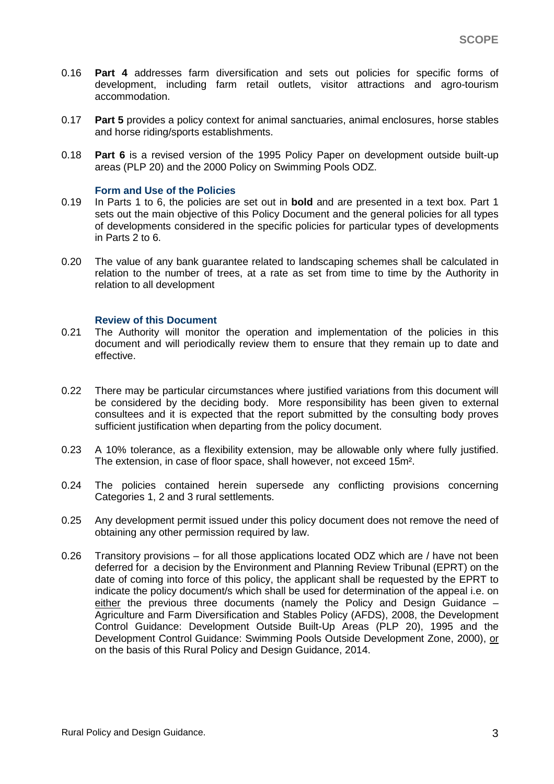- 0.16 **Part 4** addresses farm diversification and sets out policies for specific forms of development, including farm retail outlets, visitor attractions and agro-tourism accommodation.
- 0.17 **Part 5** provides a policy context for animal sanctuaries, animal enclosures, horse stables and horse riding/sports establishments.
- 0.18 **Part 6** is a revised version of the 1995 Policy Paper on development outside built-up areas (PLP 20) and the 2000 Policy on Swimming Pools ODZ.

#### **Form and Use of the Policies**

- 0.19 In Parts 1 to 6, the policies are set out in **bold** and are presented in a text box. Part 1 sets out the main objective of this Policy Document and the general policies for all types of developments considered in the specific policies for particular types of developments in Parts 2 to 6.
- 0.20 The value of any bank guarantee related to landscaping schemes shall be calculated in relation to the number of trees, at a rate as set from time to time by the Authority in relation to all development

#### **Review of this Document**

- 0.21 The Authority will monitor the operation and implementation of the policies in this document and will periodically review them to ensure that they remain up to date and effective.
- 0.22 There may be particular circumstances where justified variations from this document will be considered by the deciding body. More responsibility has been given to external consultees and it is expected that the report submitted by the consulting body proves sufficient justification when departing from the policy document.
- 0.23 A 10% tolerance, as a flexibility extension, may be allowable only where fully justified. The extension, in case of floor space, shall however, not exceed 15m².
- 0.24 The policies contained herein supersede any conflicting provisions concerning Categories 1, 2 and 3 rural settlements.
- 0.25 Any development permit issued under this policy document does not remove the need of obtaining any other permission required by law.
- 0.26 Transitory provisions for all those applications located ODZ which are / have not been deferred for a decision by the Environment and Planning Review Tribunal (EPRT) on the date of coming into force of this policy, the applicant shall be requested by the EPRT to indicate the policy document/s which shall be used for determination of the appeal i.e. on either the previous three documents (namely the Policy and Design Guidance – Agriculture and Farm Diversification and Stables Policy (AFDS), 2008, the Development Control Guidance: Development Outside Built-Up Areas (PLP 20), 1995 and the Development Control Guidance: Swimming Pools Outside Development Zone, 2000), or on the basis of this Rural Policy and Design Guidance, 2014.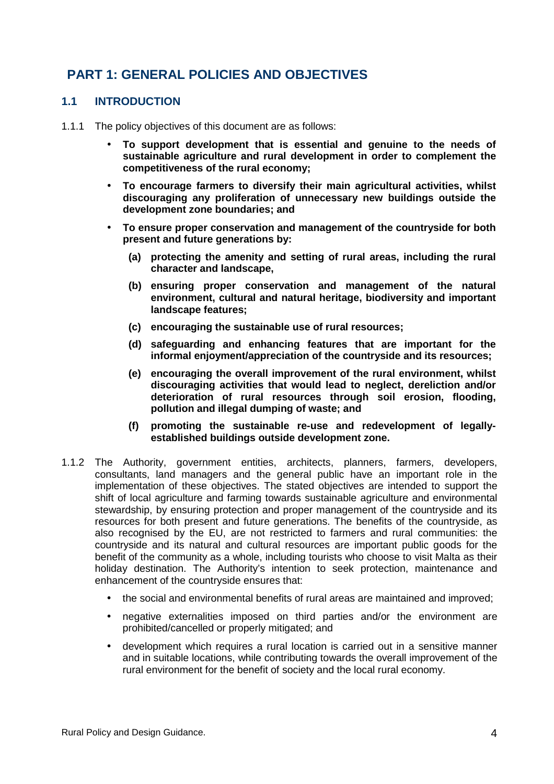# **PART 1: GENERAL POLICIES AND OBJECTIVES**

#### **1.1 INTRODUCTION**

- 1.1.1 The policy objectives of this document are as follows:
	- **To support development that is essential and genuine to the needs of sustainable agriculture and rural development in order to complement the competitiveness of the rural economy;**
	- **To encourage farmers to diversify their main agricultural activities, whilst discouraging any proliferation of unnecessary new buildings outside the development zone boundaries; and**
	- **To ensure proper conservation and management of the countryside for both present and future generations by:** 
		- **(a) protecting the amenity and setting of rural areas, including the rural character and landscape,**
		- **(b) ensuring proper conservation and management of the natural environment, cultural and natural heritage, biodiversity and important landscape features;**
		- **(c) encouraging the sustainable use of rural resources;**
		- **(d) safeguarding and enhancing features that are important for the informal enjoyment/appreciation of the countryside and its resources;**
		- **(e) encouraging the overall improvement of the rural environment, whilst discouraging activities that would lead to neglect, dereliction and/or deterioration of rural resources through soil erosion, flooding, pollution and illegal dumping of waste; and**
		- **(f) promoting the sustainable re-use and redevelopment of legallyestablished buildings outside development zone.**
- 1.1.2 The Authority, government entities, architects, planners, farmers, developers, consultants, land managers and the general public have an important role in the implementation of these objectives. The stated objectives are intended to support the shift of local agriculture and farming towards sustainable agriculture and environmental stewardship, by ensuring protection and proper management of the countryside and its resources for both present and future generations. The benefits of the countryside, as also recognised by the EU, are not restricted to farmers and rural communities: the countryside and its natural and cultural resources are important public goods for the benefit of the community as a whole, including tourists who choose to visit Malta as their holiday destination. The Authority's intention to seek protection, maintenance and enhancement of the countryside ensures that:
	- the social and environmental benefits of rural areas are maintained and improved;
	- negative externalities imposed on third parties and/or the environment are prohibited/cancelled or properly mitigated; and
	- development which requires a rural location is carried out in a sensitive manner and in suitable locations, while contributing towards the overall improvement of the rural environment for the benefit of society and the local rural economy.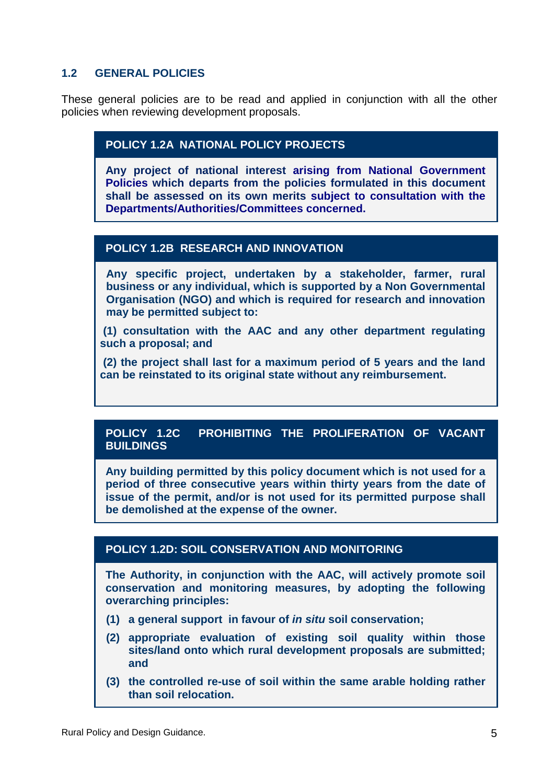#### **1.2 GENERAL POLICIES**

These general policies are to be read and applied in conjunction with all the other policies when reviewing development proposals.

#### **POLICY 1.2A NATIONAL POLICY PROJECTS**

**Any project of national interest arising from National Government Policies which departs from the policies formulated in this document shall be assessed on its own merits subject to consultation with the Departments/Authorities/Committees concerned.**

#### **POLICY 1.2B RESEARCH AND INNOVATION**

**Any specific project, undertaken by a stakeholder, farmer, rural business or any individual, which is supported by a Non Governmental Organisation (NGO) and which is required for research and innovation may be permitted subject to:** 

 **(1) consultation with the AAC and any other department regulating such a proposal; and** 

 **(2) the project shall last for a maximum period of 5 years and the land can be reinstated to its original state without any reimbursement.** 

#### **POLICY 1.2C PROHIBITING THE PROLIFERATION OF VACANT BUILDINGS**

**Any building permitted by this policy document which is not used for a period of three consecutive years within thirty years from the date of issue of the permit, and/or is not used for its permitted purpose shall be demolished at the expense of the owner.**

#### **POLICY 1.2D: SOIL CONSERVATION AND MONITORING**

**The Authority, in conjunction with the AAC, will actively promote soil conservation and monitoring measures, by adopting the following overarching principles:** 

- **(1) a general support in favour of in situ soil conservation;**
- **(2) appropriate evaluation of existing soil quality within those sites/land onto which rural development proposals are submitted; and**
- **(3) the controlled re-use of soil within the same arable holding rather than soil relocation.**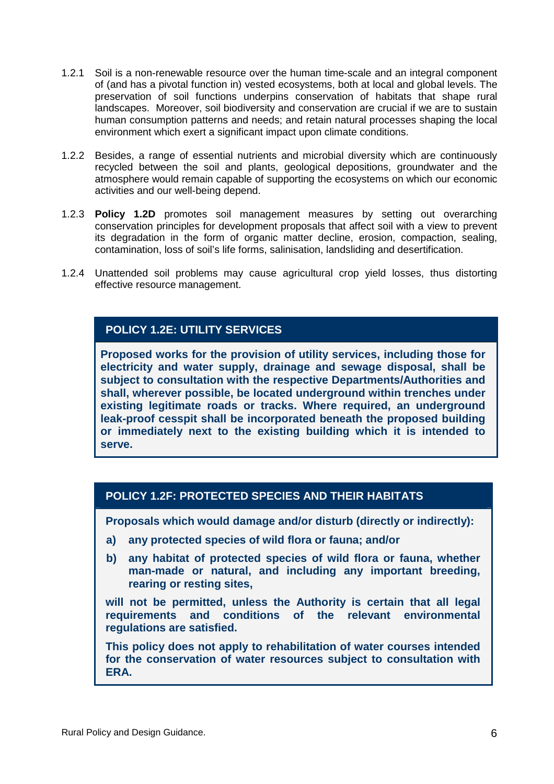- 1.2.1 Soil is a non-renewable resource over the human time-scale and an integral component of (and has a pivotal function in) vested ecosystems, both at local and global levels. The preservation of soil functions underpins conservation of habitats that shape rural landscapes. Moreover, soil biodiversity and conservation are crucial if we are to sustain human consumption patterns and needs; and retain natural processes shaping the local environment which exert a significant impact upon climate conditions.
- 1.2.2 Besides, a range of essential nutrients and microbial diversity which are continuously recycled between the soil and plants, geological depositions, groundwater and the atmosphere would remain capable of supporting the ecosystems on which our economic activities and our well-being depend.
- 1.2.3 **Policy 1.2D** promotes soil management measures by setting out overarching conservation principles for development proposals that affect soil with a view to prevent its degradation in the form of organic matter decline, erosion, compaction, sealing, contamination, loss of soil's life forms, salinisation, landsliding and desertification.
- 1.2.4 Unattended soil problems may cause agricultural crop yield losses, thus distorting effective resource management.

## **POLICY 1.2E: UTILITY SERVICES**

**Proposed works for the provision of utility services, including those for electricity and water supply, drainage and sewage disposal, shall be subject to consultation with the respective Departments/Authorities and shall, wherever possible, be located underground within trenches under existing legitimate roads or tracks. Where required, an underground leak-proof cesspit shall be incorporated beneath the proposed building or immediately next to the existing building which it is intended to serve.** 

## **POLICY 1.2F: PROTECTED SPECIES AND THEIR HABITATS**

**Proposals which would damage and/or disturb (directly or indirectly):**

- **a) any protected species of wild flora or fauna; and/or**
- **b) any habitat of protected species of wild flora or fauna, whether man-made or natural, and including any important breeding, rearing or resting sites,**

**will not be permitted, unless the Authority is certain that all legal requirements and conditions of the relevant environmental regulations are satisfied.** 

**This policy does not apply to rehabilitation of water courses intended for the conservation of water resources subject to consultation with ERA.**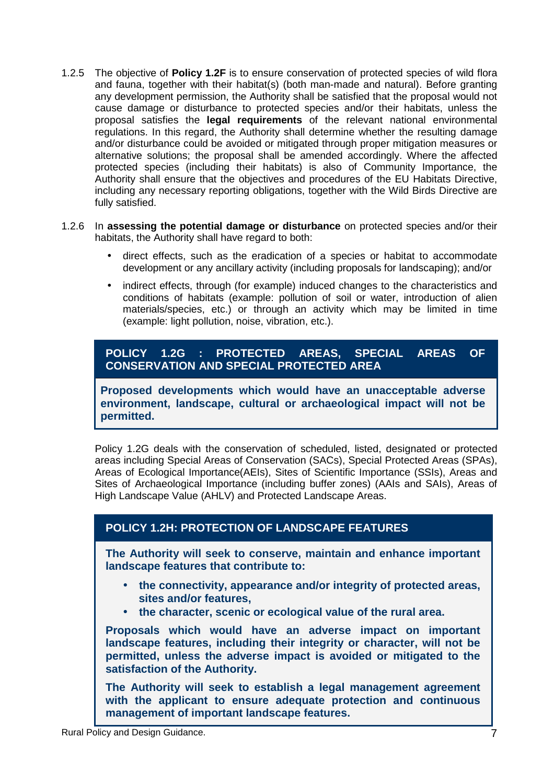- 1.2.5 The objective of **Policy 1.2F** is to ensure conservation of protected species of wild flora and fauna, together with their habitat(s) (both man-made and natural). Before granting any development permission, the Authority shall be satisfied that the proposal would not cause damage or disturbance to protected species and/or their habitats, unless the proposal satisfies the **legal requirements** of the relevant national environmental regulations. In this regard, the Authority shall determine whether the resulting damage and/or disturbance could be avoided or mitigated through proper mitigation measures or alternative solutions; the proposal shall be amended accordingly. Where the affected protected species (including their habitats) is also of Community Importance, the Authority shall ensure that the objectives and procedures of the EU Habitats Directive, including any necessary reporting obligations, together with the Wild Birds Directive are fully satisfied.
- 1.2.6 In **assessing the potential damage or disturbance** on protected species and/or their habitats, the Authority shall have regard to both:
	- direct effects, such as the eradication of a species or habitat to accommodate development or any ancillary activity (including proposals for landscaping); and/or
	- indirect effects, through (for example) induced changes to the characteristics and conditions of habitats (example: pollution of soil or water, introduction of alien materials/species, etc.) or through an activity which may be limited in time (example: light pollution, noise, vibration, etc.).

## **POLICY 1.2G : PROTECTED AREAS, SPECIAL AREAS OF CONSERVATION AND SPECIAL PROTECTED AREA**

**Proposed developments which would have an unacceptable adverse environment, landscape, cultural or archaeological impact will not be permitted.** 

Policy 1.2G deals with the conservation of scheduled, listed, designated or protected areas including Special Areas of Conservation (SACs), Special Protected Areas (SPAs), Areas of Ecological Importance(AEIs), Sites of Scientific Importance (SSIs), Areas and Sites of Archaeological Importance (including buffer zones) (AAIs and SAIs), Areas of High Landscape Value (AHLV) and Protected Landscape Areas.

## **POLICY 1.2H: PROTECTION OF LANDSCAPE FEATURES**

**The Authority will seek to conserve, maintain and enhance important landscape features that contribute to:** 

- **the connectivity, appearance and/or integrity of protected areas, sites and/or features,**
- **the character, scenic or ecological value of the rural area.**

**Proposals which would have an adverse impact on important landscape features, including their integrity or character, will not be permitted, unless the adverse impact is avoided or mitigated to the satisfaction of the Authority.** 

**The Authority will seek to establish a legal management agreement with the applicant to ensure adequate protection and continuous management of important landscape features.**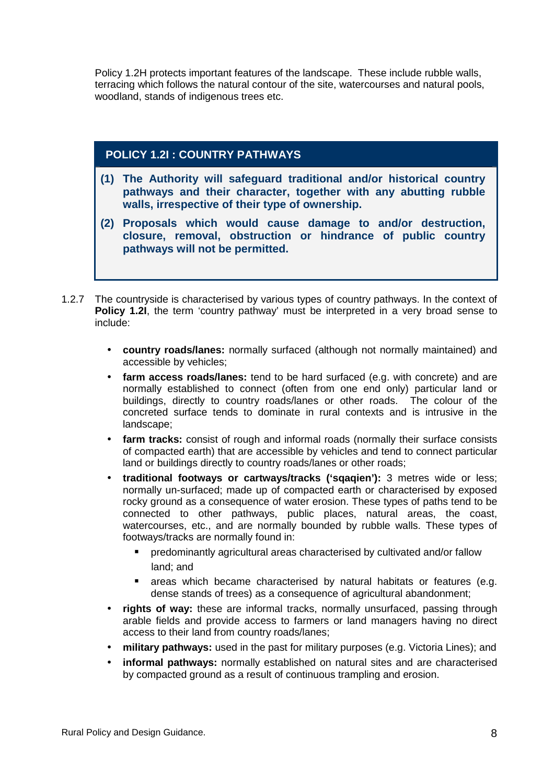Policy 1.2H protects important features of the landscape. These include rubble walls, terracing which follows the natural contour of the site, watercourses and natural pools, woodland, stands of indigenous trees etc.

## **POLICY 1.2I : COUNTRY PATHWAYS**

- **(1) The Authority will safeguard traditional and/or historical country pathways and their character, together with any abutting rubble walls, irrespective of their type of ownership.**
- **(2) Proposals which would cause damage to and/or destruction, closure, removal, obstruction or hindrance of public country pathways will not be permitted.**
- 1.2.7 The countryside is characterised by various types of country pathways. In the context of **Policy 1.2I**, the term 'country pathway' must be interpreted in a very broad sense to include:
	- **country roads/lanes:** normally surfaced (although not normally maintained) and accessible by vehicles;
	- **farm access roads/lanes:** tend to be hard surfaced (e.g. with concrete) and are normally established to connect (often from one end only) particular land or buildings, directly to country roads/lanes or other roads. The colour of the concreted surface tends to dominate in rural contexts and is intrusive in the landscape;
	- **farm tracks:** consist of rough and informal roads (normally their surface consists of compacted earth) that are accessible by vehicles and tend to connect particular land or buildings directly to country roads/lanes or other roads;
	- **traditional footways or cartways/tracks ('sqaqien'):** 3 metres wide or less; normally un-surfaced; made up of compacted earth or characterised by exposed rocky ground as a consequence of water erosion. These types of paths tend to be connected to other pathways, public places, natural areas, the coast, watercourses, etc., and are normally bounded by rubble walls. These types of footways/tracks are normally found in:
		- predominantly agricultural areas characterised by cultivated and/or fallow land; and
		- areas which became characterised by natural habitats or features (e.g. dense stands of trees) as a consequence of agricultural abandonment;
	- **rights of way:** these are informal tracks, normally unsurfaced, passing through arable fields and provide access to farmers or land managers having no direct access to their land from country roads/lanes;
	- **military pathways:** used in the past for military purposes (e.g. Victoria Lines); and
	- **informal pathways:** normally established on natural sites and are characterised by compacted ground as a result of continuous trampling and erosion.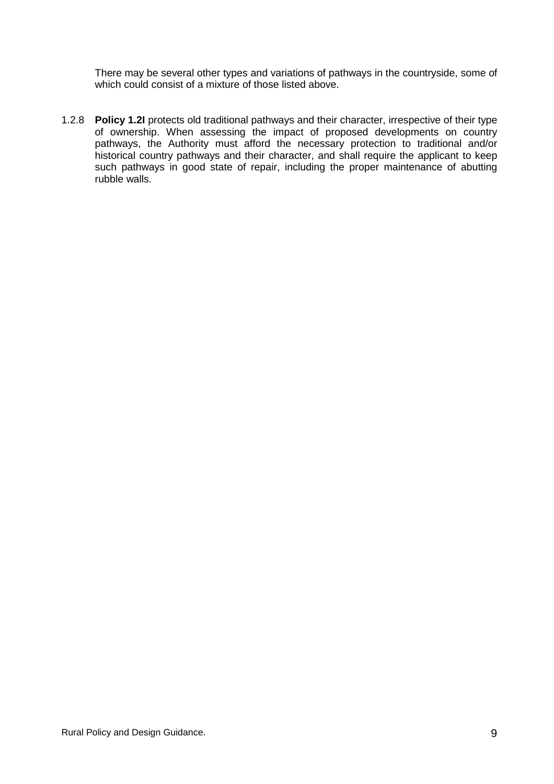There may be several other types and variations of pathways in the countryside, some of which could consist of a mixture of those listed above.

1.2.8 **Policy 1.2I** protects old traditional pathways and their character, irrespective of their type of ownership. When assessing the impact of proposed developments on country pathways, the Authority must afford the necessary protection to traditional and/or historical country pathways and their character, and shall require the applicant to keep such pathways in good state of repair, including the proper maintenance of abutting rubble walls.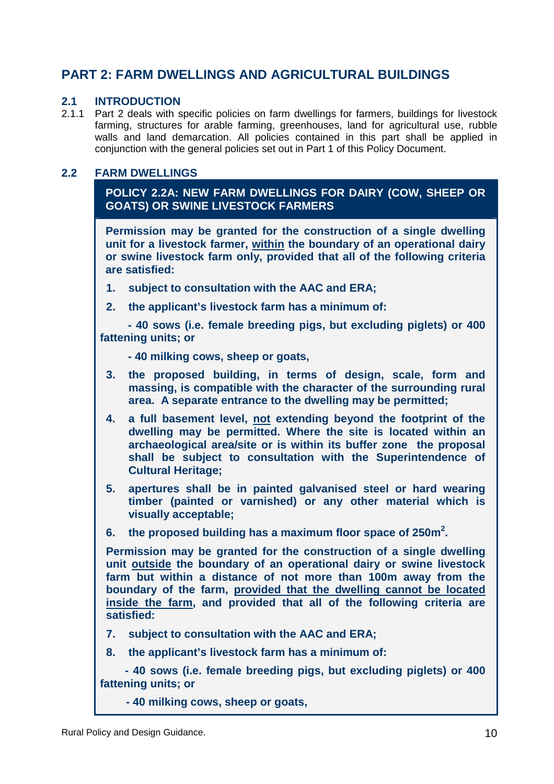# **PART 2: FARM DWELLINGS AND AGRICULTURAL BUILDINGS**

#### **2.1 INTRODUCTION**

2.1.1 Part 2 deals with specific policies on farm dwellings for farmers, buildings for livestock farming, structures for arable farming, greenhouses, land for agricultural use, rubble walls and land demarcation. All policies contained in this part shall be applied in conjunction with the general policies set out in Part 1 of this Policy Document.

#### **2.2 FARM DWELLINGS**

**POLICY 2.2A: NEW FARM DWELLINGS FOR DAIRY (COW, SHEEP OR GOATS) OR SWINE LIVESTOCK FARMERS** 

**Permission may be granted for the construction of a single dwelling unit for a livestock farmer, within the boundary of an operational dairy or swine livestock farm only, provided that all of the following criteria are satisfied:** 

- **1. subject to consultation with the AAC and ERA;**
- **2. the applicant's livestock farm has a minimum of:**

 **- 40 sows (i.e. female breeding pigs, but excluding piglets) or 400 fattening units; or** 

 **- 40 milking cows, sheep or goats,** 

- **3. the proposed building, in terms of design, scale, form and massing, is compatible with the character of the surrounding rural area. A separate entrance to the dwelling may be permitted;**
- **4. a full basement level, not extending beyond the footprint of the dwelling may be permitted. Where the site is located within an archaeological area/site or is within its buffer zone the proposal shall be subject to consultation with the Superintendence of Cultural Heritage;**
- **5. apertures shall be in painted galvanised steel or hard wearing timber (painted or varnished) or any other material which is visually acceptable;**
- **6. the proposed building has a maximum floor space of 250m<sup>2</sup> .**

**Permission may be granted for the construction of a single dwelling unit outside the boundary of an operational dairy or swine livestock farm but within a distance of not more than 100m away from the boundary of the farm, provided that the dwelling cannot be located inside the farm, and provided that all of the following criteria are satisfied:** 

- **7. subject to consultation with the AAC and ERA;**
- **8. the applicant's livestock farm has a minimum of:**

 **- 40 sows (i.e. female breeding pigs, but excluding piglets) or 400 fattening units; or** 

**- 40 milking cows, sheep or goats,**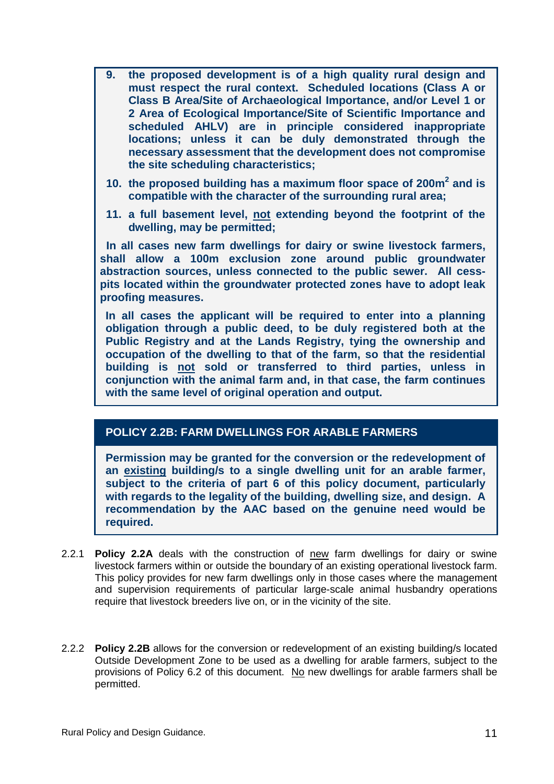- **9. the proposed development is of a high quality rural design and must respect the rural context. Scheduled locations (Class A or Class B Area/Site of Archaeological Importance, and/or Level 1 or 2 Area of Ecological Importance/Site of Scientific Importance and scheduled AHLV) are in principle considered inappropriate locations; unless it can be duly demonstrated through the necessary assessment that the development does not compromise the site scheduling characteristics;**
- **10. the proposed building has a maximum floor space of 200m<sup>2</sup> and is compatible with the character of the surrounding rural area;**
- **11. a full basement level, not extending beyond the footprint of the dwelling, may be permitted;**

 **In all cases new farm dwellings for dairy or swine livestock farmers, shall allow a 100m exclusion zone around public groundwater abstraction sources, unless connected to the public sewer. All cesspits located within the groundwater protected zones have to adopt leak proofing measures.** 

**In all cases the applicant will be required to enter into a planning obligation through a public deed, to be duly registered both at the Public Registry and at the Lands Registry, tying the ownership and occupation of the dwelling to that of the farm, so that the residential building is not sold or transferred to third parties, unless in conjunction with the animal farm and, in that case, the farm continues with the same level of original operation and output.** 

#### **POLICY 2.2B: FARM DWELLINGS FOR ARABLE FARMERS**

**Permission may be granted for the conversion or the redevelopment of an existing building/s to a single dwelling unit for an arable farmer, subject to the criteria of part 6 of this policy document, particularly with regards to the legality of the building, dwelling size, and design. A recommendation by the AAC based on the genuine need would be required.** 

- 2.2.1 **Policy 2.2A** deals with the construction of new farm dwellings for dairy or swine livestock farmers within or outside the boundary of an existing operational livestock farm. This policy provides for new farm dwellings only in those cases where the management and supervision requirements of particular large-scale animal husbandry operations require that livestock breeders live on, or in the vicinity of the site.
- 2.2.2 **Policy 2.2B** allows for the conversion or redevelopment of an existing building/s located Outside Development Zone to be used as a dwelling for arable farmers, subject to the provisions of Policy 6.2 of this document. No new dwellings for arable farmers shall be permitted.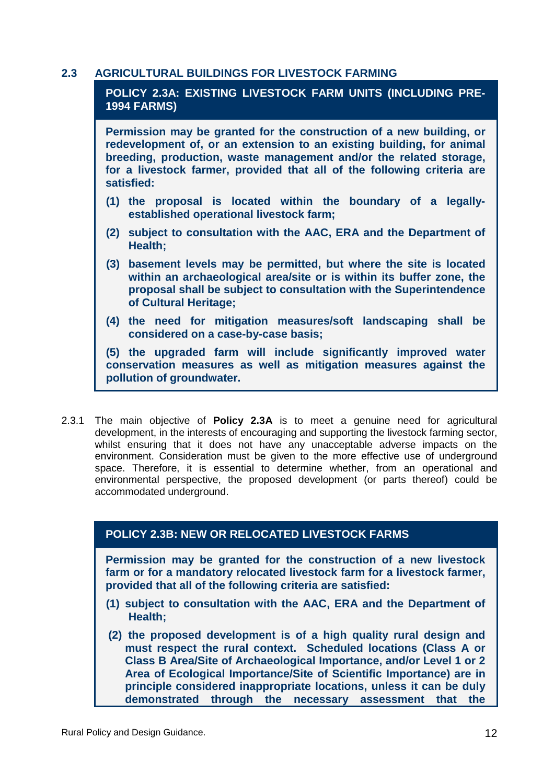#### **2.3 AGRICULTURAL BUILDINGS FOR LIVESTOCK FARMING**

## **POLICY 2.3A: EXISTING LIVESTOCK FARM UNITS (INCLUDING PRE-1994 FARMS)**

**Permission may be granted for the construction of a new building, or redevelopment of, or an extension to an existing building, for animal breeding, production, waste management and/or the related storage, for a livestock farmer, provided that all of the following criteria are satisfied:** 

- **(1) the proposal is located within the boundary of a legallyestablished operational livestock farm;**
- **(2) subject to consultation with the AAC, ERA and the Department of Health;**
- **(3) basement levels may be permitted, but where the site is located within an archaeological area/site or is within its buffer zone, the proposal shall be subject to consultation with the Superintendence of Cultural Heritage;**
- **(4) the need for mitigation measures/soft landscaping shall be considered on a case-by-case basis;**

**(5) the upgraded farm will include significantly improved water conservation measures as well as mitigation measures against the pollution of groundwater.** 

2.3.1 The main objective of **Policy 2.3A** is to meet a genuine need for agricultural development, in the interests of encouraging and supporting the livestock farming sector, whilst ensuring that it does not have any unacceptable adverse impacts on the environment. Consideration must be given to the more effective use of underground space. Therefore, it is essential to determine whether, from an operational and environmental perspective, the proposed development (or parts thereof) could be accommodated underground.

## **POLICY 2.3B: NEW OR RELOCATED LIVESTOCK FARMS**

**Permission may be granted for the construction of a new livestock farm or for a mandatory relocated livestock farm for a livestock farmer, provided that all of the following criteria are satisfied:** 

- **(1) subject to consultation with the AAC, ERA and the Department of Health;**
- **(2) the proposed development is of a high quality rural design and must respect the rural context. Scheduled locations (Class A or Class B Area/Site of Archaeological Importance, and/or Level 1 or 2 Area of Ecological Importance/Site of Scientific Importance) are in principle considered inappropriate locations, unless it can be duly demonstrated through the necessary assessment that the**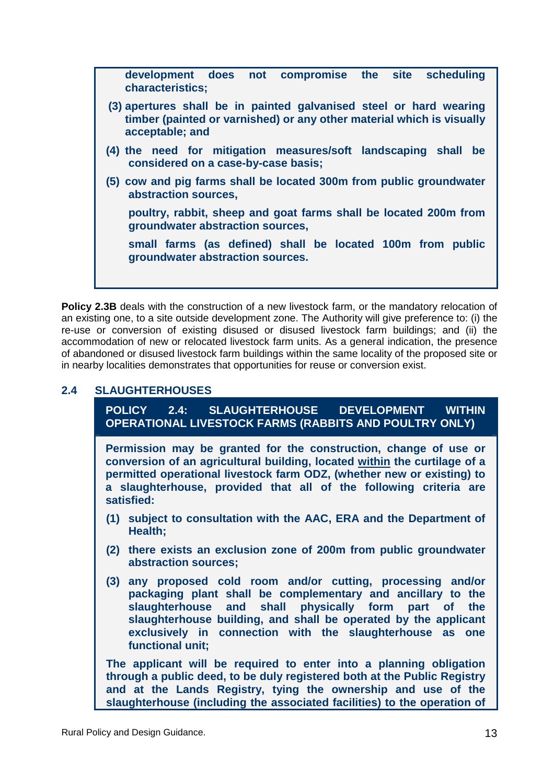**development does not compromise the site scheduling characteristics; (3) apertures shall be in painted galvanised steel or hard wearing timber (painted or varnished) or any other material which is visually acceptable; and (4) the need for mitigation measures/soft landscaping shall be considered on a case-by-case basis; (5) cow and pig farms shall be located 300m from public groundwater abstraction sources, poultry, rabbit, sheep and goat farms shall be located 200m from groundwater abstraction sources, small farms (as defined) shall be located 100m from public groundwater abstraction sources.** 

**Policy 2.3B** deals with the construction of a new livestock farm, or the mandatory relocation of an existing one, to a site outside development zone. The Authority will give preference to: (i) the re-use or conversion of existing disused or disused livestock farm buildings; and (ii) the accommodation of new or relocated livestock farm units. As a general indication, the presence of abandoned or disused livestock farm buildings within the same locality of the proposed site or in nearby localities demonstrates that opportunities for reuse or conversion exist.

## **2.4 SLAUGHTERHOUSES**

**POLICY 2.4: SLAUGHTERHOUSE DEVELOPMENT WITHIN OPERATIONAL LIVESTOCK FARMS (RABBITS AND POULTRY ONLY)** 

**Permission may be granted for the construction, change of use or conversion of an agricultural building, located within the curtilage of a permitted operational livestock farm ODZ, (whether new or existing) to a slaughterhouse, provided that all of the following criteria are satisfied:** 

- **(1) subject to consultation with the AAC, ERA and the Department of Health;**
- **(2) there exists an exclusion zone of 200m from public groundwater abstraction sources;**
- **(3) any proposed cold room and/or cutting, processing and/or packaging plant shall be complementary and ancillary to the slaughterhouse and shall physically form part of the slaughterhouse building, and shall be operated by the applicant exclusively in connection with the slaughterhouse as one functional unit;**

**The applicant will be required to enter into a planning obligation through a public deed, to be duly registered both at the Public Registry and at the Lands Registry, tying the ownership and use of the slaughterhouse (including the associated facilities) to the operation of**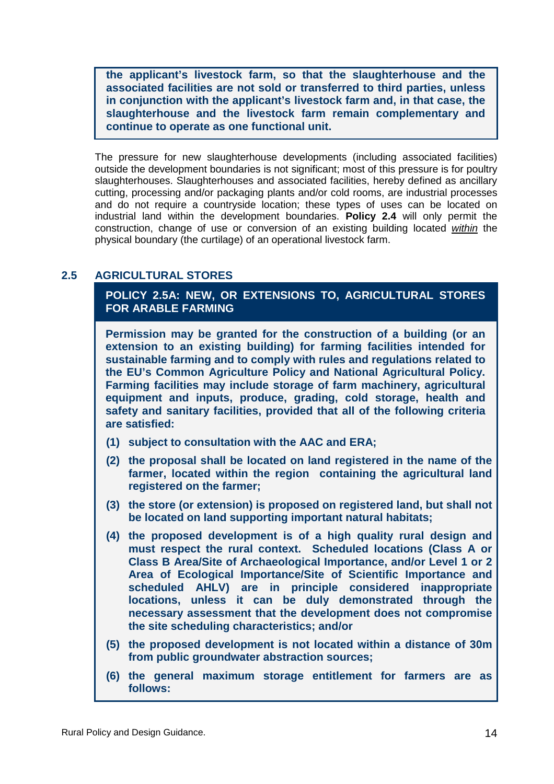**the applicant's livestock farm, so that the slaughterhouse and the associated facilities are not sold or transferred to third parties, unless in conjunction with the applicant's livestock farm and, in that case, the slaughterhouse and the livestock farm remain complementary and continue to operate as one functional unit.** 

The pressure for new slaughterhouse developments (including associated facilities) outside the development boundaries is not significant; most of this pressure is for poultry slaughterhouses. Slaughterhouses and associated facilities, hereby defined as ancillary cutting, processing and/or packaging plants and/or cold rooms, are industrial processes and do not require a countryside location; these types of uses can be located on industrial land within the development boundaries. **Policy 2.4** will only permit the construction, change of use or conversion of an existing building located within the physical boundary (the curtilage) of an operational livestock farm.

#### **2.5 AGRICULTURAL STORES**

**POLICY 2.5A: NEW, OR EXTENSIONS TO, AGRICULTURAL STORES FOR ARABLE FARMING** 

**Permission may be granted for the construction of a building (or an extension to an existing building) for farming facilities intended for sustainable farming and to comply with rules and regulations related to the EU's Common Agriculture Policy and National Agricultural Policy. Farming facilities may include storage of farm machinery, agricultural equipment and inputs, produce, grading, cold storage, health and safety and sanitary facilities, provided that all of the following criteria are satisfied:** 

- **(1) subject to consultation with the AAC and ERA;**
- **(2) the proposal shall be located on land registered in the name of the farmer, located within the region containing the agricultural land registered on the farmer;**
- **(3) the store (or extension) is proposed on registered land, but shall not be located on land supporting important natural habitats;**
- **(4) the proposed development is of a high quality rural design and must respect the rural context. Scheduled locations (Class A or Class B Area/Site of Archaeological Importance, and/or Level 1 or 2 Area of Ecological Importance/Site of Scientific Importance and scheduled AHLV) are in principle considered inappropriate locations, unless it can be duly demonstrated through the necessary assessment that the development does not compromise the site scheduling characteristics; and/or**
- **(5) the proposed development is not located within a distance of 30m from public groundwater abstraction sources;**
- **(6) the general maximum storage entitlement for farmers are as follows:**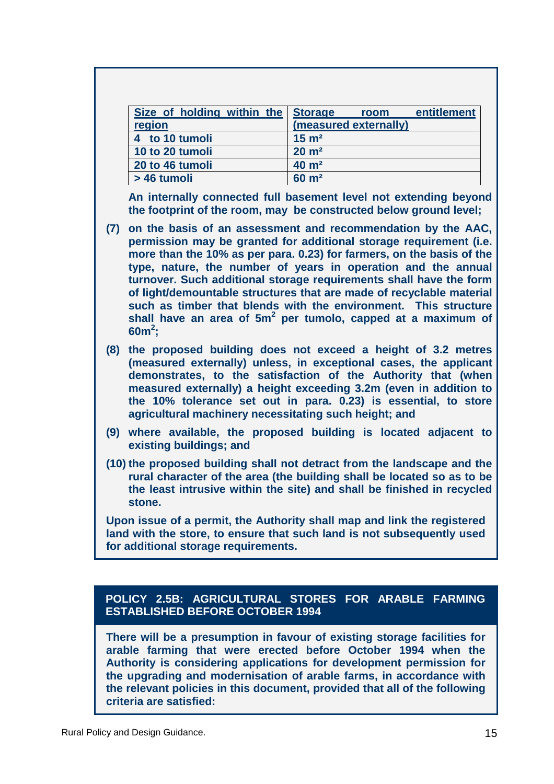| Size of holding within the Storage | entitlement<br>room   |
|------------------------------------|-----------------------|
| region                             | (measured externally) |
| 4 to 10 tumoli                     | $15 \text{ m}^2$      |
| 10 to 20 tumoli                    | $20 \text{ m}^2$      |
| 20 to 46 tumoli                    | $40 \text{ m}^2$      |
| > 46 tumoli                        | $60 \text{ m}^2$      |

**An internally connected full basement level not extending beyond the footprint of the room, may be constructed below ground level;** 

- **(7) on the basis of an assessment and recommendation by the AAC, permission may be granted for additional storage requirement (i.e. more than the 10% as per para. 0.23) for farmers, on the basis of the type, nature, the number of years in operation and the annual turnover. Such additional storage requirements shall have the form of light/demountable structures that are made of recyclable material such as timber that blends with the environment. This structure shall have an area of 5m<sup>2</sup> per tumolo, capped at a maximum of 60m<sup>2</sup> ;**
- **(8) the proposed building does not exceed a height of 3.2 metres (measured externally) unless, in exceptional cases, the applicant demonstrates, to the satisfaction of the Authority that (when measured externally) a height exceeding 3.2m (even in addition to the 10% tolerance set out in para. 0.23) is essential, to store agricultural machinery necessitating such height; and**
- **(9) where available, the proposed building is located adjacent to existing buildings; and**
- **(10) the proposed building shall not detract from the landscape and the rural character of the area (the building shall be located so as to be the least intrusive within the site) and shall be finished in recycled stone.**

**Upon issue of a permit, the Authority shall map and link the registered land with the store, to ensure that such land is not subsequently used for additional storage requirements.** 

#### **POLICY 2.5B: AGRICULTURAL STORES FOR ARABLE FARMING ESTABLISHED BEFORE OCTOBER 1994**

**There will be a presumption in favour of existing storage facilities for arable farming that were erected before October 1994 when the Authority is considering applications for development permission for the upgrading and modernisation of arable farms, in accordance with the relevant policies in this document, provided that all of the following criteria are satisfied:**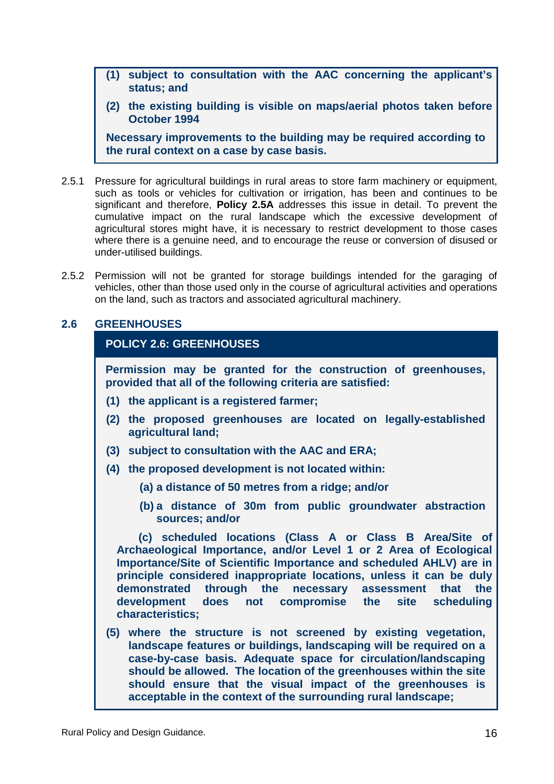- **(1) subject to consultation with the AAC concerning the applicant's status; and**
- **(2) the existing building is visible on maps/aerial photos taken before October 1994**

**Necessary improvements to the building may be required according to the rural context on a case by case basis.** 

- 2.5.1 Pressure for agricultural buildings in rural areas to store farm machinery or equipment, such as tools or vehicles for cultivation or irrigation, has been and continues to be significant and therefore, **Policy 2.5A** addresses this issue in detail. To prevent the cumulative impact on the rural landscape which the excessive development of agricultural stores might have, it is necessary to restrict development to those cases where there is a genuine need, and to encourage the reuse or conversion of disused or under-utilised buildings.
- 2.5.2 Permission will not be granted for storage buildings intended for the garaging of vehicles, other than those used only in the course of agricultural activities and operations on the land, such as tractors and associated agricultural machinery.

#### **2.6 GREENHOUSES**

#### **POLICY 2.6: GREENHOUSES**

**Permission may be granted for the construction of greenhouses, provided that all of the following criteria are satisfied:** 

- **(1) the applicant is a registered farmer;**
- **(2) the proposed greenhouses are located on legally-established agricultural land;**
- **(3) subject to consultation with the AAC and ERA;**
- **(4) the proposed development is not located within:**
	- **(a) a distance of 50 metres from a ridge; and/or**
	- **(b) a distance of 30m from public groundwater abstraction sources; and/or**

 **(c) scheduled locations (Class A or Class B Area/Site of Archaeological Importance, and/or Level 1 or 2 Area of Ecological Importance/Site of Scientific Importance and scheduled AHLV) are in principle considered inappropriate locations, unless it can be duly demonstrated through the necessary assessment that the development does not compromise the site scheduling characteristics;** 

**(5) where the structure is not screened by existing vegetation, landscape features or buildings, landscaping will be required on a case-by-case basis. Adequate space for circulation/landscaping should be allowed. The location of the greenhouses within the site should ensure that the visual impact of the greenhouses is acceptable in the context of the surrounding rural landscape;**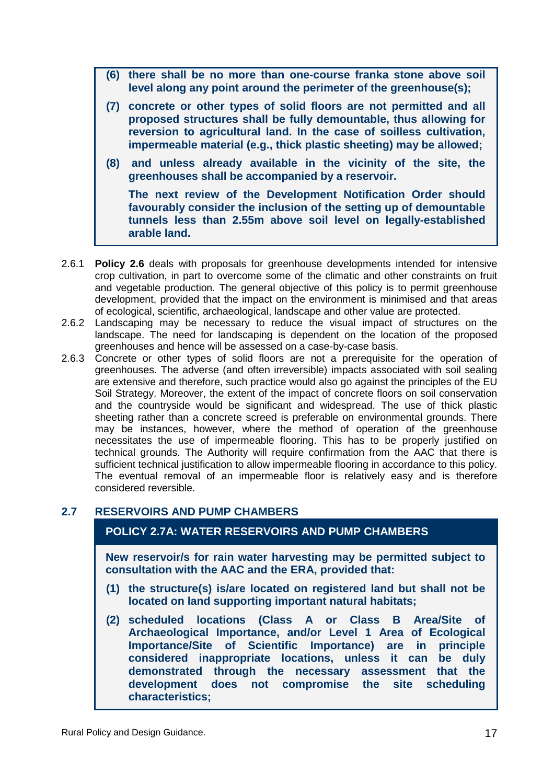- **(6) there shall be no more than one-course franka stone above soil level along any point around the perimeter of the greenhouse(s);**
- **(7) concrete or other types of solid floors are not permitted and all proposed structures shall be fully demountable, thus allowing for reversion to agricultural land. In the case of soilless cultivation, impermeable material (e.g., thick plastic sheeting) may be allowed;**
- **(8) and unless already available in the vicinity of the site, the greenhouses shall be accompanied by a reservoir.**

**The next review of the Development Notification Order should favourably consider the inclusion of the setting up of demountable tunnels less than 2.55m above soil level on legally-established arable land.** 

- 2.6.1 **Policy 2.6** deals with proposals for greenhouse developments intended for intensive crop cultivation, in part to overcome some of the climatic and other constraints on fruit and vegetable production. The general objective of this policy is to permit greenhouse development, provided that the impact on the environment is minimised and that areas of ecological, scientific, archaeological, landscape and other value are protected.
- 2.6.2 Landscaping may be necessary to reduce the visual impact of structures on the landscape. The need for landscaping is dependent on the location of the proposed greenhouses and hence will be assessed on a case-by-case basis.
- 2.6.3 Concrete or other types of solid floors are not a prerequisite for the operation of greenhouses. The adverse (and often irreversible) impacts associated with soil sealing are extensive and therefore, such practice would also go against the principles of the EU Soil Strategy. Moreover, the extent of the impact of concrete floors on soil conservation and the countryside would be significant and widespread. The use of thick plastic sheeting rather than a concrete screed is preferable on environmental grounds. There may be instances, however, where the method of operation of the greenhouse necessitates the use of impermeable flooring. This has to be properly justified on technical grounds. The Authority will require confirmation from the AAC that there is sufficient technical justification to allow impermeable flooring in accordance to this policy. The eventual removal of an impermeable floor is relatively easy and is therefore considered reversible.

#### **2.7 RESERVOIRS AND PUMP CHAMBERS**

#### **POLICY 2.7A: WATER RESERVOIRS AND PUMP CHAMBERS**

**New reservoir/s for rain water harvesting may be permitted subject to consultation with the AAC and the ERA, provided that:** 

- **(1) the structure(s) is/are located on registered land but shall not be located on land supporting important natural habitats;**
- **(2) scheduled locations (Class A or Class B Area/Site of Archaeological Importance, and/or Level 1 Area of Ecological Importance/Site of Scientific Importance) are in principle considered inappropriate locations, unless it can be duly demonstrated through the necessary assessment that the development does not compromise the site scheduling characteristics;**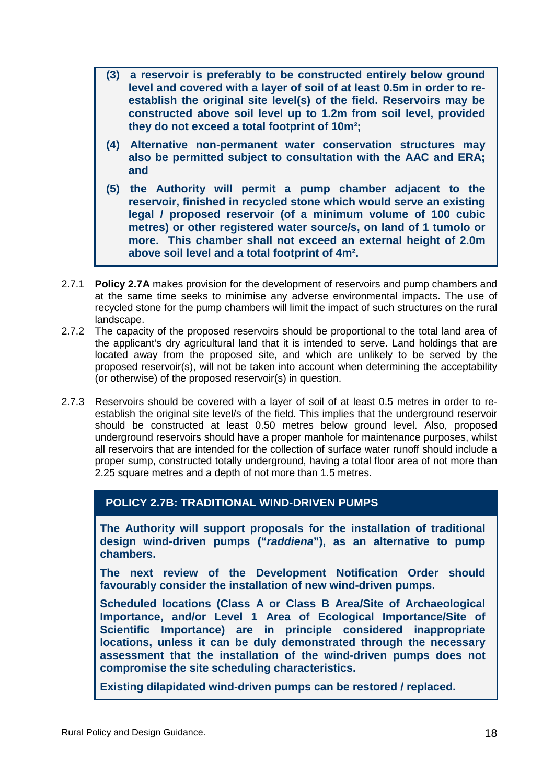- **(3) a reservoir is preferably to be constructed entirely below ground level and covered with a layer of soil of at least 0.5m in order to reestablish the original site level(s) of the field. Reservoirs may be constructed above soil level up to 1.2m from soil level, provided they do not exceed a total footprint of 10m²;**
- **(4) Alternative non-permanent water conservation structures may also be permitted subject to consultation with the AAC and ERA; and**
- **(5) the Authority will permit a pump chamber adjacent to the reservoir, finished in recycled stone which would serve an existing legal / proposed reservoir (of a minimum volume of 100 cubic metres) or other registered water source/s, on land of 1 tumolo or more. This chamber shall not exceed an external height of 2.0m above soil level and a total footprint of 4m².**
- 2.7.1 **Policy 2.7A** makes provision for the development of reservoirs and pump chambers and at the same time seeks to minimise any adverse environmental impacts. The use of recycled stone for the pump chambers will limit the impact of such structures on the rural landscape.
- 2.7.2 The capacity of the proposed reservoirs should be proportional to the total land area of the applicant's dry agricultural land that it is intended to serve. Land holdings that are located away from the proposed site, and which are unlikely to be served by the proposed reservoir(s), will not be taken into account when determining the acceptability (or otherwise) of the proposed reservoir(s) in question.
- 2.7.3 Reservoirs should be covered with a layer of soil of at least 0.5 metres in order to reestablish the original site level/s of the field. This implies that the underground reservoir should be constructed at least 0.50 metres below ground level. Also, proposed underground reservoirs should have a proper manhole for maintenance purposes, whilst all reservoirs that are intended for the collection of surface water runoff should include a proper sump, constructed totally underground, having a total floor area of not more than 2.25 square metres and a depth of not more than 1.5 metres.

## **POLICY 2.7B: TRADITIONAL WIND-DRIVEN PUMPS**

**The Authority will support proposals for the installation of traditional design wind-driven pumps ("raddiena"), as an alternative to pump chambers.** 

**The next review of the Development Notification Order should favourably consider the installation of new wind-driven pumps.** 

**Scheduled locations (Class A or Class B Area/Site of Archaeological Importance, and/or Level 1 Area of Ecological Importance/Site of Scientific Importance) are in principle considered inappropriate locations, unless it can be duly demonstrated through the necessary assessment that the installation of the wind-driven pumps does not compromise the site scheduling characteristics.** 

**Existing dilapidated wind-driven pumps can be restored / replaced.**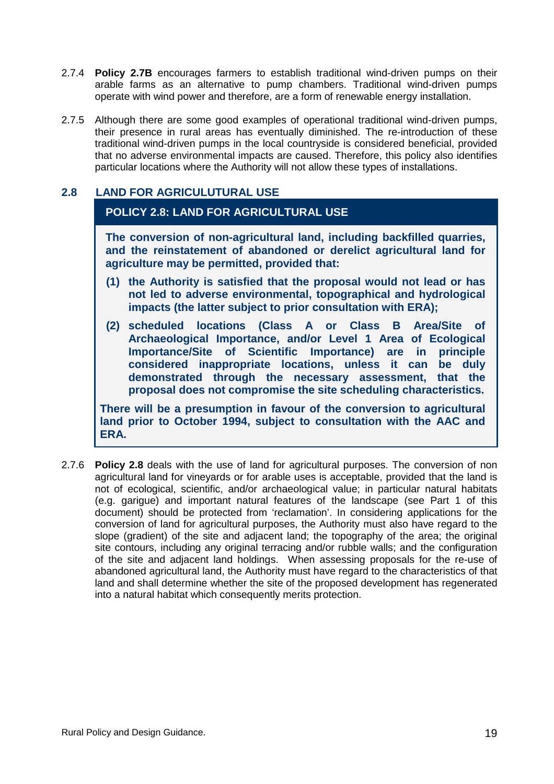- 2.7.4 **Policy 2.7B** encourages farmers to establish traditional wind-driven pumps on their arable farms as an alternative to pump chambers. Traditional wind-driven pumps operate with wind power and therefore, are a form of renewable energy installation.
- 2.7.5 Although there are some good examples of operational traditional wind-driven pumps, their presence in rural areas has eventually diminished. The re-introduction of these traditional wind-driven pumps in the local countryside is considered beneficial, provided that no adverse environmental impacts are caused. Therefore, this policy also identifies particular locations where the Authority will not allow these types of installations.

#### **2.8 LAND FOR AGRICULUTURAL USE**

#### **POLICY 2.8: LAND FOR AGRICULTURAL USE**

**The conversion of non-agricultural land, including backfilled quarries, and the reinstatement of abandoned or derelict agricultural land for agriculture may be permitted, provided that:** 

- **(1) the Authority is satisfied that the proposal would not lead or has not led to adverse environmental, topographical and hydrological impacts (the latter subject to prior consultation with ERA);**
- **(2) scheduled locations (Class A or Class B Area/Site of Archaeological Importance, and/or Level 1 Area of Ecological Importance/Site of Scientific Importance) are in principle considered inappropriate locations, unless it can be duly demonstrated through the necessary assessment, that the proposal does not compromise the site scheduling characteristics.**

**There will be a presumption in favour of the conversion to agricultural land prior to October 1994, subject to consultation with the AAC and ERA.** 

2.7.6 **Policy 2.8** deals with the use of land for agricultural purposes. The conversion of non agricultural land for vineyards or for arable uses is acceptable, provided that the land is not of ecological, scientific, and/or archaeological value; in particular natural habitats (e.g. garigue) and important natural features of the landscape (see Part 1 of this document) should be protected from 'reclamation'. In considering applications for the conversion of land for agricultural purposes, the Authority must also have regard to the slope (gradient) of the site and adjacent land; the topography of the area; the original site contours, including any original terracing and/or rubble walls; and the configuration of the site and adjacent land holdings. When assessing proposals for the re-use of abandoned agricultural land, the Authority must have regard to the characteristics of that land and shall determine whether the site of the proposed development has regenerated into a natural habitat which consequently merits protection.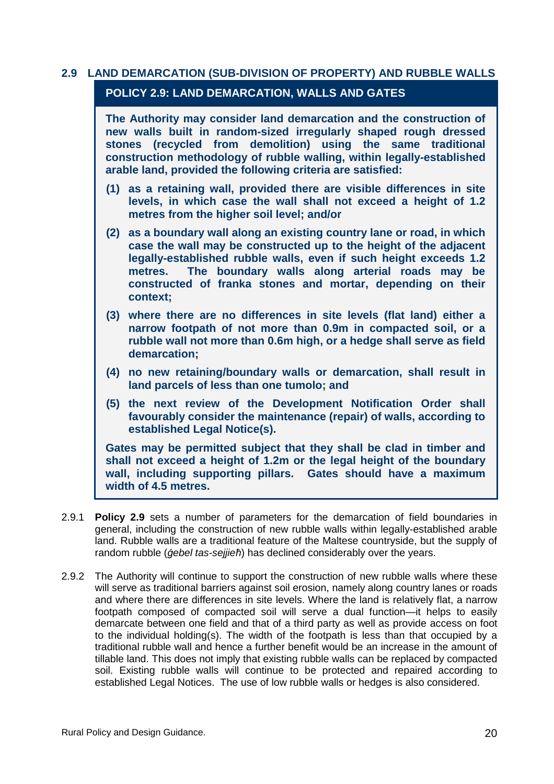## **2.9 LAND DEMARCATION (SUB-DIVISION OF PROPERTY) AND RUBBLE WALLS POLICY 2.9: LAND DEMARCATION, WALLS AND GATES**

**The Authority may consider land demarcation and the construction of new walls built in random-sized irregularly shaped rough dressed stones (recycled from demolition) using the same traditional construction methodology of rubble walling, within legally-established arable land, provided the following criteria are satisfied:** 

- **(1) as a retaining wall, provided there are visible differences in site levels, in which case the wall shall not exceed a height of 1.2 metres from the higher soil level; and/or**
- **(2) as a boundary wall along an existing country lane or road, in which case the wall may be constructed up to the height of the adjacent legally-established rubble walls, even if such height exceeds 1.2 metres. The boundary walls along arterial roads may be constructed of franka stones and mortar, depending on their context;**
- **(3) where there are no differences in site levels (flat land) either a narrow footpath of not more than 0.9m in compacted soil, or a rubble wall not more than 0.6m high, or a hedge shall serve as field demarcation;**
- **(4) no new retaining/boundary walls or demarcation, shall result in land parcels of less than one tumolo; and**
- **(5) the next review of the Development Notification Order shall favourably consider the maintenance (repair) of walls, according to established Legal Notice(s).**

**Gates may be permitted subject that they shall be clad in timber and shall not exceed a height of 1.2m or the legal height of the boundary wall, including supporting pillars. Gates should have a maximum width of 4.5 metres.** 

- 2.9.1 **Policy 2.9** sets a number of parameters for the demarcation of field boundaries in general, including the construction of new rubble walls within legally-established arable land. Rubble walls are a traditional feature of the Maltese countryside, but the supply of random rubble (*ġ*ebel tas-sejjie*ħ*) has declined considerably over the years.
- 2.9.2 The Authority will continue to support the construction of new rubble walls where these will serve as traditional barriers against soil erosion, namely along country lanes or roads and where there are differences in site levels. Where the land is relatively flat, a narrow footpath composed of compacted soil will serve a dual function—it helps to easily demarcate between one field and that of a third party as well as provide access on foot to the individual holding(s). The width of the footpath is less than that occupied by a traditional rubble wall and hence a further benefit would be an increase in the amount of tillable land. This does not imply that existing rubble walls can be replaced by compacted soil. Existing rubble walls will continue to be protected and repaired according to established Legal Notices. The use of low rubble walls or hedges is also considered.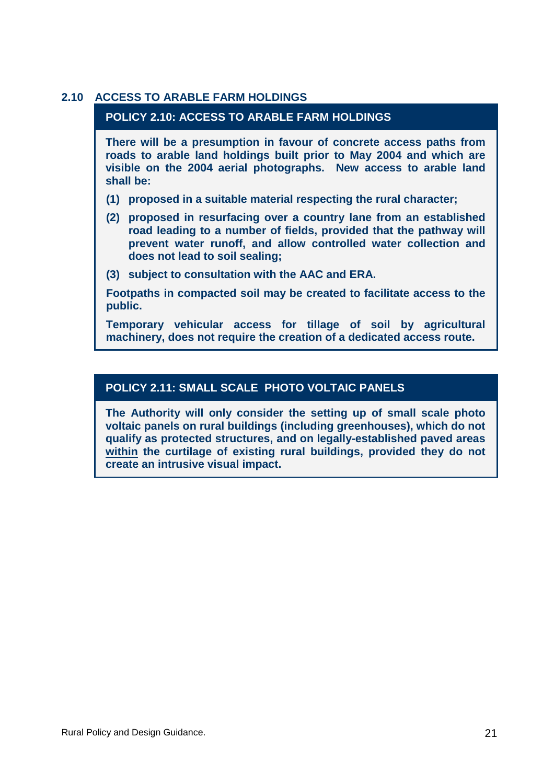#### **2.10 ACCESS TO ARABLE FARM HOLDINGS**

#### **POLICY 2.10: ACCESS TO ARABLE FARM HOLDINGS**

**There will be a presumption in favour of concrete access paths from roads to arable land holdings built prior to May 2004 and which are visible on the 2004 aerial photographs. New access to arable land shall be:** 

- **(1) proposed in a suitable material respecting the rural character;**
- **(2) proposed in resurfacing over a country lane from an established road leading to a number of fields, provided that the pathway will prevent water runoff, and allow controlled water collection and does not lead to soil sealing;**
- **(3) subject to consultation with the AAC and ERA.**

**Footpaths in compacted soil may be created to facilitate access to the public.** 

**Temporary vehicular access for tillage of soil by agricultural machinery, does not require the creation of a dedicated access route.** 

## **POLICY 2.11: SMALL SCALE PHOTO VOLTAIC PANELS**

**The Authority will only consider the setting up of small scale photo voltaic panels on rural buildings (including greenhouses), which do not qualify as protected structures, and on legally-established paved areas within the curtilage of existing rural buildings, provided they do not create an intrusive visual impact.**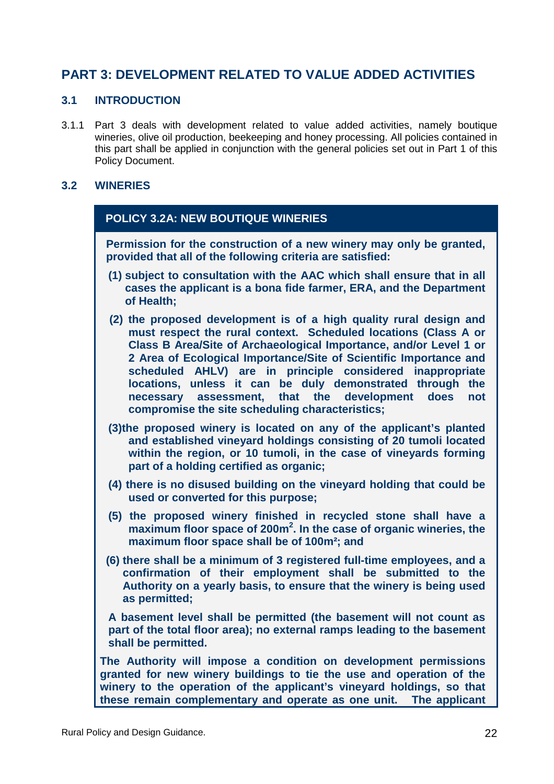# **PART 3: DEVELOPMENT RELATED TO VALUE ADDED ACTIVITIES**

#### **3.1 INTRODUCTION**

3.1.1 Part 3 deals with development related to value added activities, namely boutique wineries, olive oil production, beekeeping and honey processing. All policies contained in this part shall be applied in conjunction with the general policies set out in Part 1 of this Policy Document.

#### **3.2 WINERIES**

#### **POLICY 3.2A: NEW BOUTIQUE WINERIES**

**Permission for the construction of a new winery may only be granted, provided that all of the following criteria are satisfied:** 

- **(1) subject to consultation with the AAC which shall ensure that in all cases the applicant is a bona fide farmer, ERA, and the Department of Health;**
- **(2) the proposed development is of a high quality rural design and must respect the rural context. Scheduled locations (Class A or Class B Area/Site of Archaeological Importance, and/or Level 1 or 2 Area of Ecological Importance/Site of Scientific Importance and scheduled AHLV) are in principle considered inappropriate locations, unless it can be duly demonstrated through the necessary assessment, that the development does not compromise the site scheduling characteristics;**
- **(3)the proposed winery is located on any of the applicant's planted and established vineyard holdings consisting of 20 tumoli located within the region, or 10 tumoli, in the case of vineyards forming part of a holding certified as organic;**
- **(4) there is no disused building on the vineyard holding that could be used or converted for this purpose;**
- **(5) the proposed winery finished in recycled stone shall have a maximum floor space of 200m<sup>2</sup> . In the case of organic wineries, the maximum floor space shall be of 100m²; and**
- **(6) there shall be a minimum of 3 registered full-time employees, and a confirmation of their employment shall be submitted to the Authority on a yearly basis, to ensure that the winery is being used as permitted;**

**A basement level shall be permitted (the basement will not count as part of the total floor area); no external ramps leading to the basement shall be permitted.** 

**The Authority will impose a condition on development permissions granted for new winery buildings to tie the use and operation of the winery to the operation of the applicant's vineyard holdings, so that these remain complementary and operate as one unit. The applicant**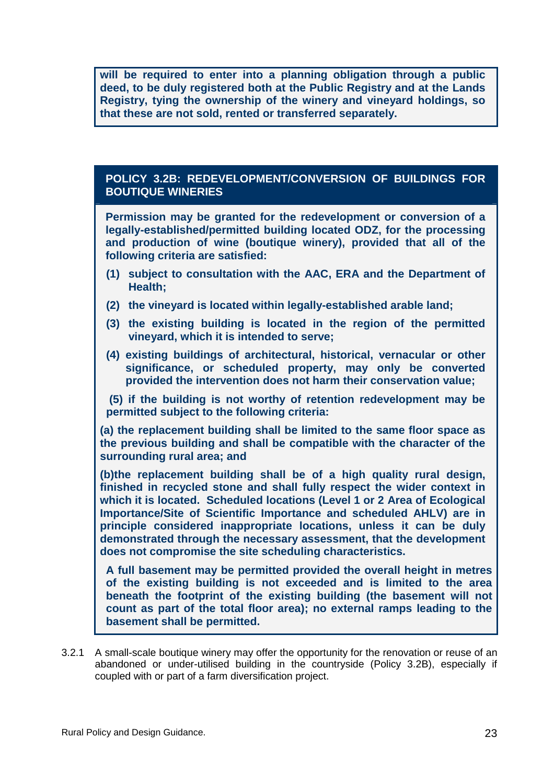**will be required to enter into a planning obligation through a public deed, to be duly registered both at the Public Registry and at the Lands Registry, tying the ownership of the winery and vineyard holdings, so that these are not sold, rented or transferred separately.** 

#### **POLICY 3.2B: REDEVELOPMENT/CONVERSION OF BUILDINGS FOR BOUTIQUE WINERIES**

**Permission may be granted for the redevelopment or conversion of a legally-established/permitted building located ODZ, for the processing and production of wine (boutique winery), provided that all of the following criteria are satisfied:** 

- **(1) subject to consultation with the AAC, ERA and the Department of Health;**
- **(2) the vineyard is located within legally-established arable land;**
- **(3) the existing building is located in the region of the permitted vineyard, which it is intended to serve;**
- **(4) existing buildings of architectural, historical, vernacular or other significance, or scheduled property, may only be converted provided the intervention does not harm their conservation value;**

 **(5) if the building is not worthy of retention redevelopment may be permitted subject to the following criteria:** 

**(a) the replacement building shall be limited to the same floor space as the previous building and shall be compatible with the character of the surrounding rural area; and** 

**(b)the replacement building shall be of a high quality rural design, finished in recycled stone and shall fully respect the wider context in which it is located. Scheduled locations (Level 1 or 2 Area of Ecological Importance/Site of Scientific Importance and scheduled AHLV) are in principle considered inappropriate locations, unless it can be duly demonstrated through the necessary assessment, that the development does not compromise the site scheduling characteristics.** 

**A full basement may be permitted provided the overall height in metres of the existing building is not exceeded and is limited to the area beneath the footprint of the existing building (the basement will not count as part of the total floor area); no external ramps leading to the basement shall be permitted.** 

3.2.1 A small-scale boutique winery may offer the opportunity for the renovation or reuse of an abandoned or under-utilised building in the countryside (Policy 3.2B), especially if coupled with or part of a farm diversification project.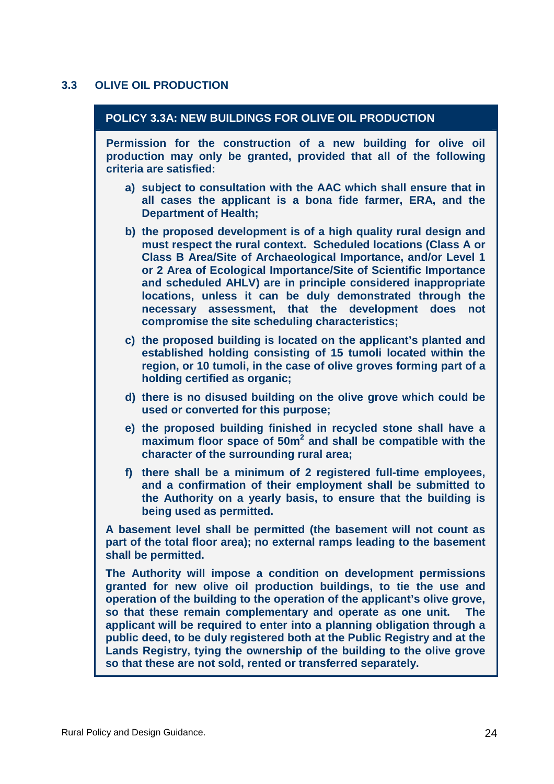## **3.3 OLIVE OIL PRODUCTION**

| POLICY 3.3A: NEW BUILDINGS FOR OLIVE OIL PRODUCTION                                                                                                                                                                                                                                                                                                                                                                                                                                                                                                                                          |
|----------------------------------------------------------------------------------------------------------------------------------------------------------------------------------------------------------------------------------------------------------------------------------------------------------------------------------------------------------------------------------------------------------------------------------------------------------------------------------------------------------------------------------------------------------------------------------------------|
| Permission for the construction of a new building for olive oil<br>production may only be granted, provided that all of the following<br>criteria are satisfied:                                                                                                                                                                                                                                                                                                                                                                                                                             |
| a) subject to consultation with the AAC which shall ensure that in<br>all cases the applicant is a bona fide farmer, ERA, and the<br><b>Department of Health;</b>                                                                                                                                                                                                                                                                                                                                                                                                                            |
| b) the proposed development is of a high quality rural design and<br>must respect the rural context. Scheduled locations (Class A or<br>Class B Area/Site of Archaeological Importance, and/or Level 1<br>or 2 Area of Ecological Importance/Site of Scientific Importance<br>and scheduled AHLV) are in principle considered inappropriate<br>locations, unless it can be duly demonstrated through the<br>necessary assessment, that the development does<br>not<br>compromise the site scheduling characteristics;                                                                        |
| c) the proposed building is located on the applicant's planted and<br>established holding consisting of 15 tumoli located within the<br>region, or 10 tumoli, in the case of olive groves forming part of a<br>holding certified as organic;                                                                                                                                                                                                                                                                                                                                                 |
| d) there is no disused building on the olive grove which could be<br>used or converted for this purpose;                                                                                                                                                                                                                                                                                                                                                                                                                                                                                     |
| e) the proposed building finished in recycled stone shall have a<br>maximum floor space of 50m <sup>2</sup> and shall be compatible with the<br>character of the surrounding rural area;                                                                                                                                                                                                                                                                                                                                                                                                     |
| f) there shall be a minimum of 2 registered full-time employees,<br>and a confirmation of their employment shall be submitted to<br>the Authority on a yearly basis, to ensure that the building is<br>being used as permitted.                                                                                                                                                                                                                                                                                                                                                              |
| A basement level shall be permitted (the basement will not count as<br>part of the total floor area); no external ramps leading to the basement<br>shall be permitted.                                                                                                                                                                                                                                                                                                                                                                                                                       |
| The Authority will impose a condition on development permissions<br>granted for new olive oil production buildings, to tie the use and<br>operation of the building to the operation of the applicant's olive grove,<br>so that these remain complementary and operate as one unit.  The<br>applicant will be required to enter into a planning obligation through a<br>public deed, to be duly registered both at the Public Registry and at the<br>Lands Registry, tying the ownership of the building to the olive grove<br>so that these are not sold, rented or transferred separately. |
|                                                                                                                                                                                                                                                                                                                                                                                                                                                                                                                                                                                              |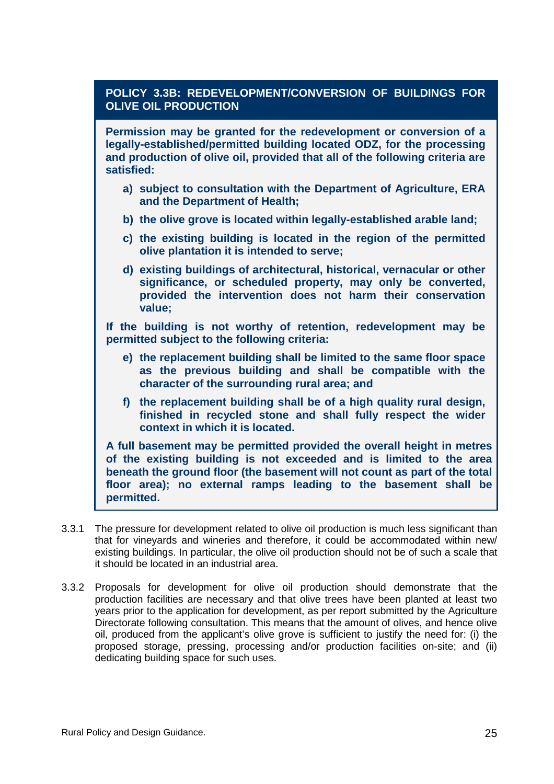## **POLICY 3.3B: REDEVELOPMENT/CONVERSION OF BUILDINGS FOR OLIVE OIL PRODUCTION**

**Permission may be granted for the redevelopment or conversion of a legally-established/permitted building located ODZ, for the processing and production of olive oil, provided that all of the following criteria are satisfied:** 

- **a) subject to consultation with the Department of Agriculture, ERA and the Department of Health;**
- **b) the olive grove is located within legally-established arable land;**
- **c) the existing building is located in the region of the permitted olive plantation it is intended to serve;**
- **d) existing buildings of architectural, historical, vernacular or other significance, or scheduled property, may only be converted, provided the intervention does not harm their conservation value;**

**If the building is not worthy of retention, redevelopment may be permitted subject to the following criteria:** 

- **e) the replacement building shall be limited to the same floor space as the previous building and shall be compatible with the character of the surrounding rural area; and**
- **f) the replacement building shall be of a high quality rural design, finished in recycled stone and shall fully respect the wider context in which it is located.**

**A full basement may be permitted provided the overall height in metres of the existing building is not exceeded and is limited to the area beneath the ground floor (the basement will not count as part of the total floor area); no external ramps leading to the basement shall be permitted.** 

- 3.3.1 The pressure for development related to olive oil production is much less significant than that for vineyards and wineries and therefore, it could be accommodated within new/ existing buildings. In particular, the olive oil production should not be of such a scale that it should be located in an industrial area.
- 3.3.2 Proposals for development for olive oil production should demonstrate that the production facilities are necessary and that olive trees have been planted at least two years prior to the application for development, as per report submitted by the Agriculture Directorate following consultation. This means that the amount of olives, and hence olive oil, produced from the applicant's olive grove is sufficient to justify the need for: (i) the proposed storage, pressing, processing and/or production facilities on-site; and (ii) dedicating building space for such uses.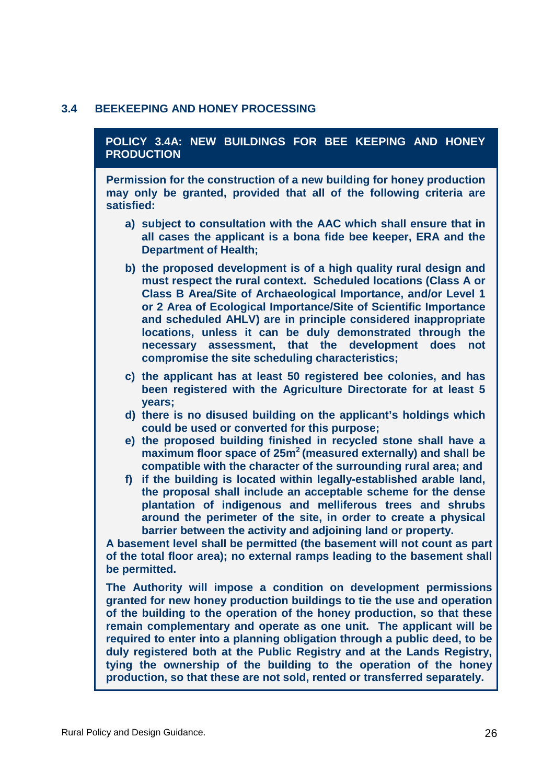#### **3.4 BEEKEEPING AND HONEY PROCESSING**

#### **POLICY 3.4A: NEW BUILDINGS FOR BEE KEEPING AND HONEY PRODUCTION**

**Permission for the construction of a new building for honey production may only be granted, provided that all of the following criteria are satisfied:** 

- **a) subject to consultation with the AAC which shall ensure that in all cases the applicant is a bona fide bee keeper, ERA and the Department of Health;**
- **b) the proposed development is of a high quality rural design and must respect the rural context. Scheduled locations (Class A or Class B Area/Site of Archaeological Importance, and/or Level 1 or 2 Area of Ecological Importance/Site of Scientific Importance and scheduled AHLV) are in principle considered inappropriate locations, unless it can be duly demonstrated through the necessary assessment, that the development does not compromise the site scheduling characteristics;**
- **c) the applicant has at least 50 registered bee colonies, and has been registered with the Agriculture Directorate for at least 5 years;**
- **d) there is no disused building on the applicant's holdings which could be used or converted for this purpose;**
- **e) the proposed building finished in recycled stone shall have a maximum floor space of 25m<sup>2</sup>(measured externally) and shall be compatible with the character of the surrounding rural area; and**
- **f) if the building is located within legally-established arable land, the proposal shall include an acceptable scheme for the dense plantation of indigenous and melliferous trees and shrubs around the perimeter of the site, in order to create a physical barrier between the activity and adjoining land or property.**

**A basement level shall be permitted (the basement will not count as part of the total floor area); no external ramps leading to the basement shall be permitted.** 

**The Authority will impose a condition on development permissions granted for new honey production buildings to tie the use and operation of the building to the operation of the honey production, so that these remain complementary and operate as one unit. The applicant will be required to enter into a planning obligation through a public deed, to be duly registered both at the Public Registry and at the Lands Registry, tying the ownership of the building to the operation of the honey production, so that these are not sold, rented or transferred separately.**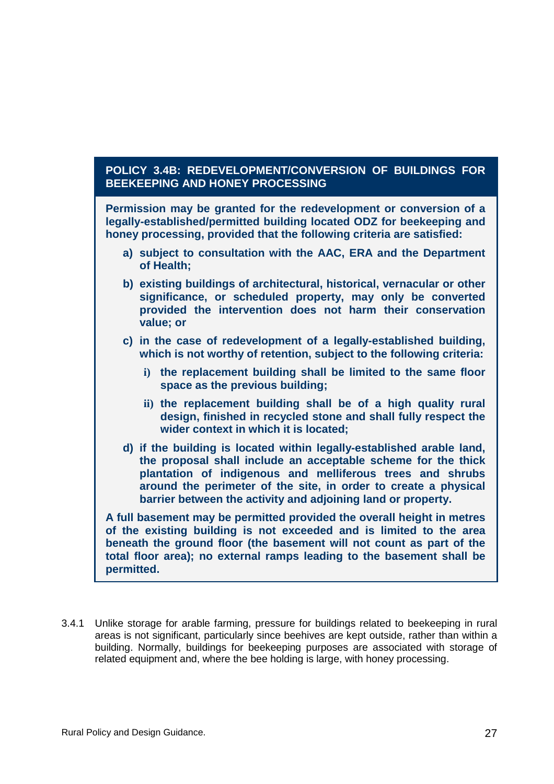#### **POLICY 3.4B: REDEVELOPMENT/CONVERSION OF BUILDINGS FOR BEEKEEPING AND HONEY PROCESSING**

**Permission may be granted for the redevelopment or conversion of a legally-established/permitted building located ODZ for beekeeping and honey processing, provided that the following criteria are satisfied:** 

- **a) subject to consultation with the AAC, ERA and the Department of Health;**
- **b) existing buildings of architectural, historical, vernacular or other significance, or scheduled property, may only be converted provided the intervention does not harm their conservation value; or**
- **c) in the case of redevelopment of a legally-established building, which is not worthy of retention, subject to the following criteria:** 
	- **i) the replacement building shall be limited to the same floor space as the previous building;**
	- **ii) the replacement building shall be of a high quality rural design, finished in recycled stone and shall fully respect the wider context in which it is located;**
- **d) if the building is located within legally-established arable land, the proposal shall include an acceptable scheme for the thick plantation of indigenous and melliferous trees and shrubs around the perimeter of the site, in order to create a physical barrier between the activity and adjoining land or property.**

**A full basement may be permitted provided the overall height in metres of the existing building is not exceeded and is limited to the area beneath the ground floor (the basement will not count as part of the total floor area); no external ramps leading to the basement shall be permitted.** 

3.4.1 Unlike storage for arable farming, pressure for buildings related to beekeeping in rural areas is not significant, particularly since beehives are kept outside, rather than within a building. Normally, buildings for beekeeping purposes are associated with storage of related equipment and, where the bee holding is large, with honey processing.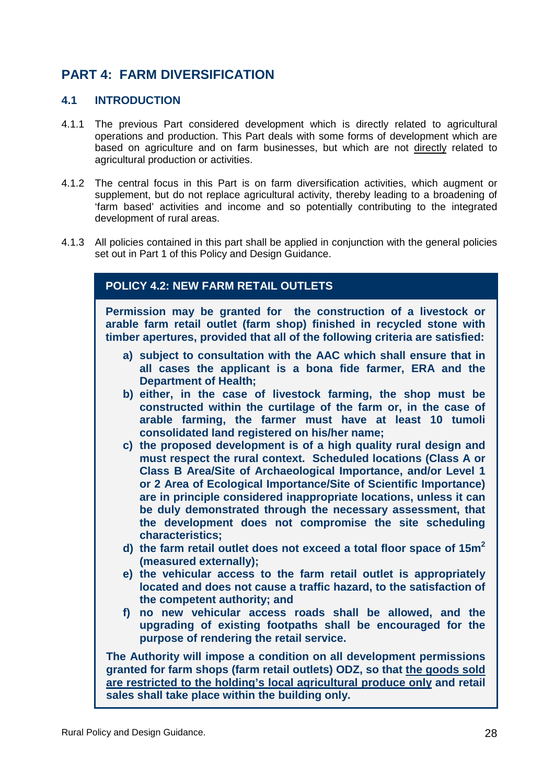# **PART 4: FARM DIVERSIFICATION**

#### **4.1 INTRODUCTION**

- 4.1.1 The previous Part considered development which is directly related to agricultural operations and production. This Part deals with some forms of development which are based on agriculture and on farm businesses, but which are not directly related to agricultural production or activities.
- 4.1.2 The central focus in this Part is on farm diversification activities, which augment or supplement, but do not replace agricultural activity, thereby leading to a broadening of 'farm based' activities and income and so potentially contributing to the integrated development of rural areas.
- 4.1.3 All policies contained in this part shall be applied in conjunction with the general policies set out in Part 1 of this Policy and Design Guidance.

## **POLICY 4.2: NEW FARM RETAIL OUTLETS**

**Permission may be granted for the construction of a livestock or arable farm retail outlet (farm shop) finished in recycled stone with timber apertures, provided that all of the following criteria are satisfied:** 

- **a) subject to consultation with the AAC which shall ensure that in all cases the applicant is a bona fide farmer, ERA and the Department of Health;**
- **b) either, in the case of livestock farming, the shop must be constructed within the curtilage of the farm or, in the case of arable farming, the farmer must have at least 10 tumoli consolidated land registered on his/her name;**
- **c) the proposed development is of a high quality rural design and must respect the rural context. Scheduled locations (Class A or Class B Area/Site of Archaeological Importance, and/or Level 1 or 2 Area of Ecological Importance/Site of Scientific Importance) are in principle considered inappropriate locations, unless it can be duly demonstrated through the necessary assessment, that the development does not compromise the site scheduling characteristics;**
- **d) the farm retail outlet does not exceed a total floor space of 15m<sup>2</sup> (measured externally);**
- **e) the vehicular access to the farm retail outlet is appropriately located and does not cause a traffic hazard, to the satisfaction of the competent authority; and**
- **f) no new vehicular access roads shall be allowed, and the upgrading of existing footpaths shall be encouraged for the purpose of rendering the retail service.**

**The Authority will impose a condition on all development permissions granted for farm shops (farm retail outlets) ODZ, so that the goods sold are restricted to the holding's local agricultural produce only and retail sales shall take place within the building only.**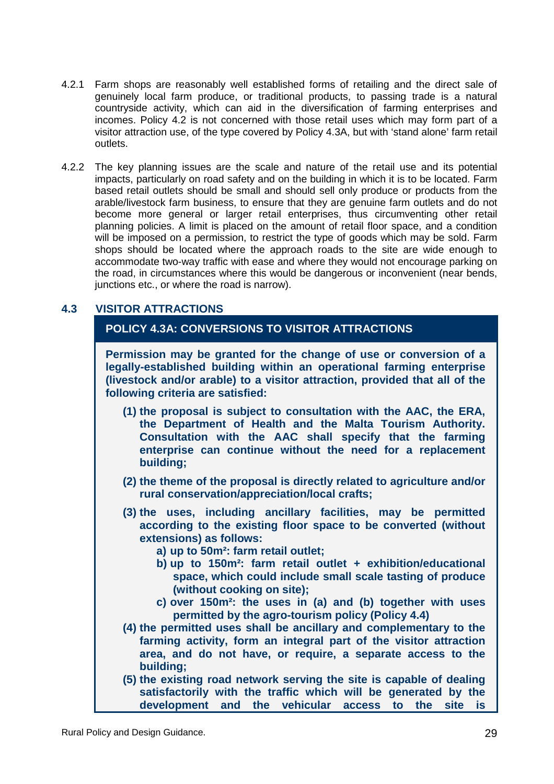- 4.2.1 Farm shops are reasonably well established forms of retailing and the direct sale of genuinely local farm produce, or traditional products, to passing trade is a natural countryside activity, which can aid in the diversification of farming enterprises and incomes. Policy 4.2 is not concerned with those retail uses which may form part of a visitor attraction use, of the type covered by Policy 4.3A, but with 'stand alone' farm retail outlets.
- 4.2.2 The key planning issues are the scale and nature of the retail use and its potential impacts, particularly on road safety and on the building in which it is to be located. Farm based retail outlets should be small and should sell only produce or products from the arable/livestock farm business, to ensure that they are genuine farm outlets and do not become more general or larger retail enterprises, thus circumventing other retail planning policies. A limit is placed on the amount of retail floor space, and a condition will be imposed on a permission, to restrict the type of goods which may be sold. Farm shops should be located where the approach roads to the site are wide enough to accommodate two-way traffic with ease and where they would not encourage parking on the road, in circumstances where this would be dangerous or inconvenient (near bends, junctions etc., or where the road is narrow).

## **4.3 VISITOR ATTRACTIONS**

#### **POLICY 4.3A: CONVERSIONS TO VISITOR ATTRACTIONS**

**Permission may be granted for the change of use or conversion of a legally-established building within an operational farming enterprise (livestock and/or arable) to a visitor attraction, provided that all of the following criteria are satisfied:** 

- **(1) the proposal is subject to consultation with the AAC, the ERA, the Department of Health and the Malta Tourism Authority. Consultation with the AAC shall specify that the farming enterprise can continue without the need for a replacement building;**
- **(2) the theme of the proposal is directly related to agriculture and/or rural conservation/appreciation/local crafts;**
- **(3) the uses, including ancillary facilities, may be permitted according to the existing floor space to be converted (without extensions) as follows:** 
	- **a) up to 50m²: farm retail outlet;**
	- **b) up to 150m²: farm retail outlet + exhibition/educational space, which could include small scale tasting of produce (without cooking on site);**
	- **c) over 150m²: the uses in (a) and (b) together with uses permitted by the agro-tourism policy (Policy 4.4)**
- **(4) the permitted uses shall be ancillary and complementary to the farming activity, form an integral part of the visitor attraction area, and do not have, or require, a separate access to the building;**
- **(5) the existing road network serving the site is capable of dealing satisfactorily with the traffic which will be generated by the development and the vehicular access to the site is**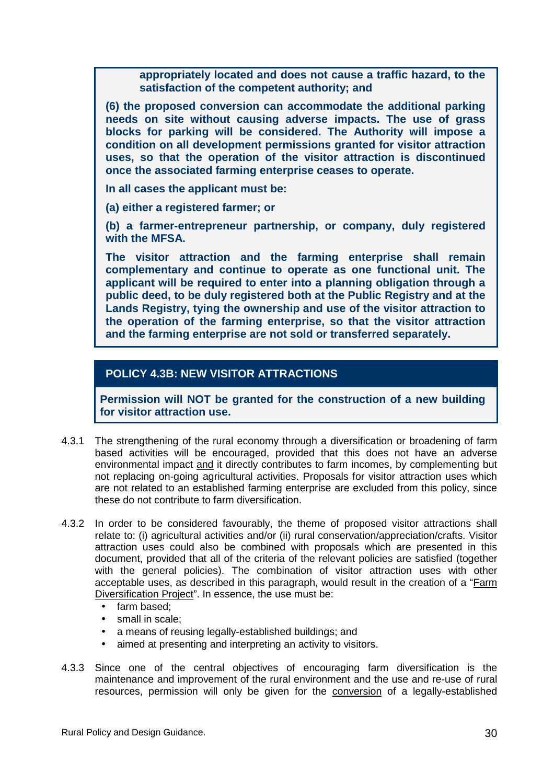**appropriately located and does not cause a traffic hazard, to the satisfaction of the competent authority; and** 

**(6) the proposed conversion can accommodate the additional parking needs on site without causing adverse impacts. The use of grass blocks for parking will be considered. The Authority will impose a condition on all development permissions granted for visitor attraction uses, so that the operation of the visitor attraction is discontinued once the associated farming enterprise ceases to operate.** 

**In all cases the applicant must be:** 

**(a) either a registered farmer; or** 

**(b) a farmer-entrepreneur partnership, or company, duly registered with the MFSA.** 

**The visitor attraction and the farming enterprise shall remain complementary and continue to operate as one functional unit. The applicant will be required to enter into a planning obligation through a public deed, to be duly registered both at the Public Registry and at the Lands Registry, tying the ownership and use of the visitor attraction to the operation of the farming enterprise, so that the visitor attraction and the farming enterprise are not sold or transferred separately.** 

#### **POLICY 4.3B: NEW VISITOR ATTRACTIONS**

**Permission will NOT be granted for the construction of a new building for visitor attraction use.** 

- 4.3.1 The strengthening of the rural economy through a diversification or broadening of farm based activities will be encouraged, provided that this does not have an adverse environmental impact and it directly contributes to farm incomes, by complementing but not replacing on-going agricultural activities. Proposals for visitor attraction uses which are not related to an established farming enterprise are excluded from this policy, since these do not contribute to farm diversification.
- 4.3.2 In order to be considered favourably, the theme of proposed visitor attractions shall relate to: (i) agricultural activities and/or (ii) rural conservation/appreciation/crafts. Visitor attraction uses could also be combined with proposals which are presented in this document, provided that all of the criteria of the relevant policies are satisfied (together with the general policies). The combination of visitor attraction uses with other acceptable uses, as described in this paragraph, would result in the creation of a "Farm Diversification Project". In essence, the use must be:
	- farm based;
	- small in scale:
	- a means of reusing legally-established buildings; and
	- aimed at presenting and interpreting an activity to visitors.
- 4.3.3 Since one of the central objectives of encouraging farm diversification is the maintenance and improvement of the rural environment and the use and re-use of rural resources, permission will only be given for the conversion of a legally-established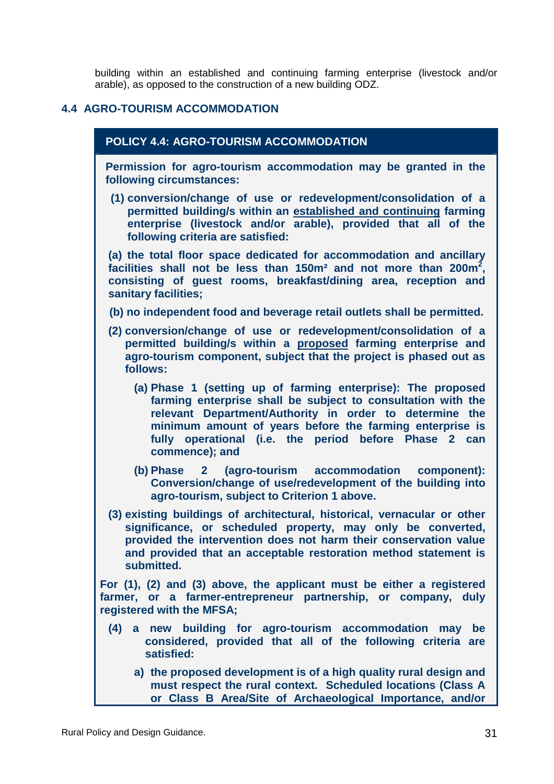building within an established and continuing farming enterprise (livestock and/or arable), as opposed to the construction of a new building ODZ.

#### **4.4 AGRO-TOURISM ACCOMMODATION**

#### **POLICY 4.4: AGRO-TOURISM ACCOMMODATION**

**Permission for agro-tourism accommodation may be granted in the following circumstances:** 

**(1) conversion/change of use or redevelopment/consolidation of a permitted building/s within an established and continuing farming enterprise (livestock and/or arable), provided that all of the following criteria are satisfied:** 

**(a) the total floor space dedicated for accommodation and ancillary facilities shall not be less than 150m² and not more than 200m<sup>2</sup> , consisting of guest rooms, breakfast/dining area, reception and sanitary facilities;** 

- **(b) no independent food and beverage retail outlets shall be permitted.**
- **(2) conversion/change of use or redevelopment/consolidation of a permitted building/s within a proposed farming enterprise and agro-tourism component, subject that the project is phased out as follows:** 
	- **(a) Phase 1 (setting up of farming enterprise): The proposed farming enterprise shall be subject to consultation with the relevant Department/Authority in order to determine the minimum amount of years before the farming enterprise is fully operational (i.e. the period before Phase 2 can commence); and**
	- **(b) Phase 2 (agro-tourism accommodation component): Conversion/change of use/redevelopment of the building into agro-tourism, subject to Criterion 1 above.**
- **(3) existing buildings of architectural, historical, vernacular or other significance, or scheduled property, may only be converted, provided the intervention does not harm their conservation value and provided that an acceptable restoration method statement is submitted.**

**For (1), (2) and (3) above, the applicant must be either a registered farmer, or a farmer-entrepreneur partnership, or company, duly registered with the MFSA;** 

- **(4) a new building for agro-tourism accommodation may be considered, provided that all of the following criteria are satisfied:** 
	- **a) the proposed development is of a high quality rural design and must respect the rural context. Scheduled locations (Class A or Class B Area/Site of Archaeological Importance, and/or**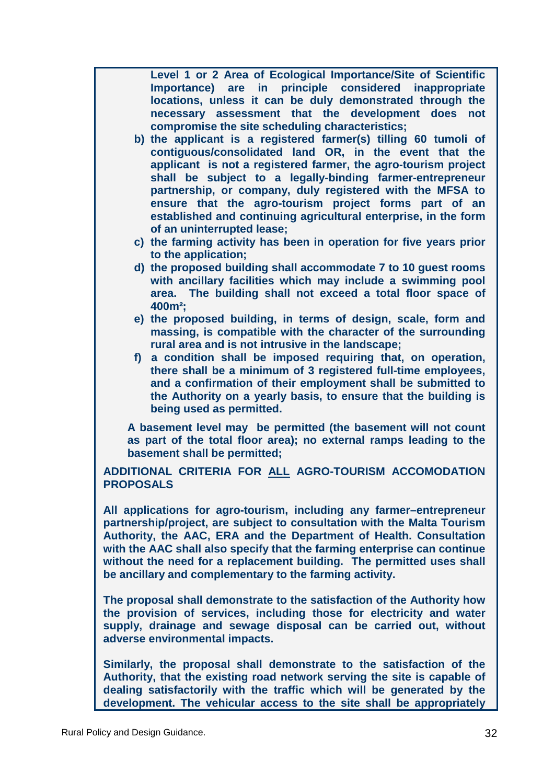**Level 1 or 2 Area of Ecological Importance/Site of Scientific Importance) are in principle considered inappropriate locations, unless it can be duly demonstrated through the necessary assessment that the development does not compromise the site scheduling characteristics;** 

**b) the applicant is a registered farmer(s) tilling 60 tumoli of contiguous/consolidated land OR, in the event that the applicant is not a registered farmer, the agro-tourism project shall be subject to a legally-binding farmer-entrepreneur partnership, or company, duly registered with the MFSA to ensure that the agro-tourism project forms part of an established and continuing agricultural enterprise, in the form of an uninterrupted lease;** 

- **c) the farming activity has been in operation for five years prior to the application;**
- **d) the proposed building shall accommodate 7 to 10 guest rooms with ancillary facilities which may include a swimming pool area. The building shall not exceed a total floor space of 400m²;**
- **e) the proposed building, in terms of design, scale, form and massing, is compatible with the character of the surrounding rural area and is not intrusive in the landscape;**
- **f) a condition shall be imposed requiring that, on operation, there shall be a minimum of 3 registered full-time employees, and a confirmation of their employment shall be submitted to the Authority on a yearly basis, to ensure that the building is being used as permitted.**

**A basement level may be permitted (the basement will not count as part of the total floor area); no external ramps leading to the basement shall be permitted;** 

**ADDITIONAL CRITERIA FOR ALL AGRO-TOURISM ACCOMODATION PROPOSALS** 

**All applications for agro-tourism, including any farmer–entrepreneur partnership/project, are subject to consultation with the Malta Tourism Authority, the AAC, ERA and the Department of Health. Consultation with the AAC shall also specify that the farming enterprise can continue without the need for a replacement building. The permitted uses shall be ancillary and complementary to the farming activity.** 

**The proposal shall demonstrate to the satisfaction of the Authority how the provision of services, including those for electricity and water supply, drainage and sewage disposal can be carried out, without adverse environmental impacts.** 

**Similarly, the proposal shall demonstrate to the satisfaction of the Authority, that the existing road network serving the site is capable of dealing satisfactorily with the traffic which will be generated by the development. The vehicular access to the site shall be appropriately**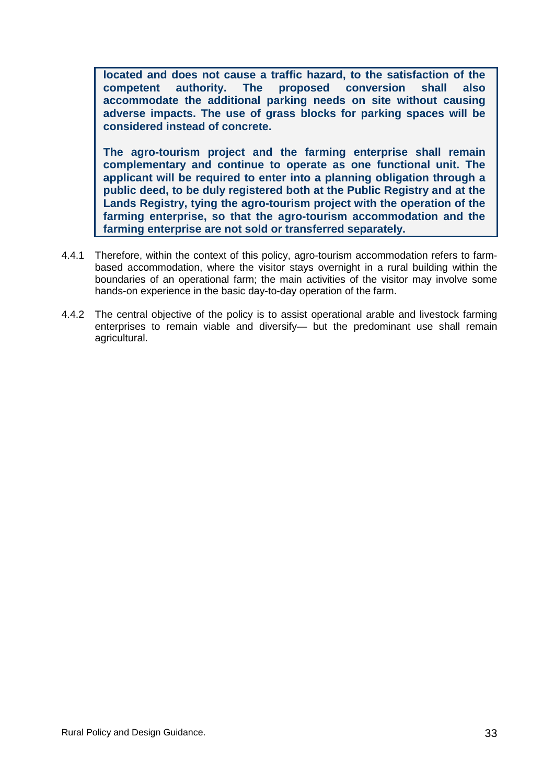**located and does not cause a traffic hazard, to the satisfaction of the competent authority. The proposed conversion shall also accommodate the additional parking needs on site without causing adverse impacts. The use of grass blocks for parking spaces will be considered instead of concrete.** 

**The agro-tourism project and the farming enterprise shall remain complementary and continue to operate as one functional unit. The applicant will be required to enter into a planning obligation through a public deed, to be duly registered both at the Public Registry and at the Lands Registry, tying the agro-tourism project with the operation of the farming enterprise, so that the agro-tourism accommodation and the farming enterprise are not sold or transferred separately.** 

- 4.4.1 Therefore, within the context of this policy, agro-tourism accommodation refers to farmbased accommodation, where the visitor stays overnight in a rural building within the boundaries of an operational farm; the main activities of the visitor may involve some hands-on experience in the basic day-to-day operation of the farm.
- 4.4.2 The central objective of the policy is to assist operational arable and livestock farming enterprises to remain viable and diversify— but the predominant use shall remain agricultural.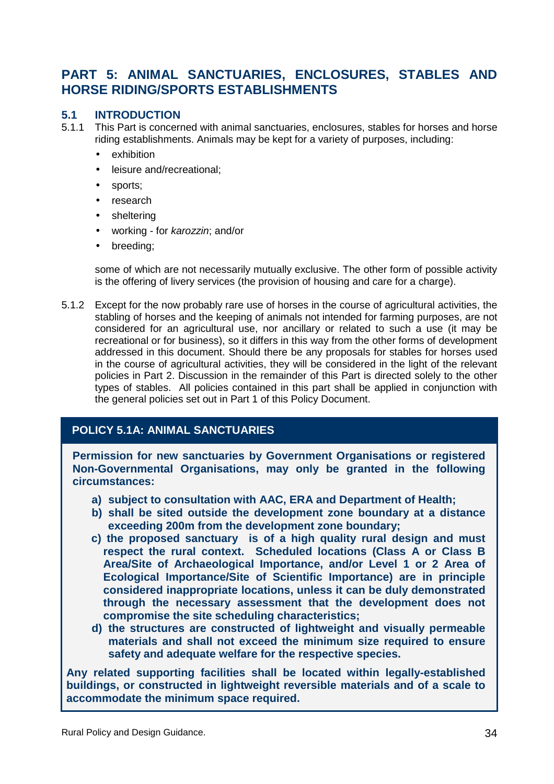## **PART 5: ANIMAL SANCTUARIES, ENCLOSURES, STABLES AND HORSE RIDING/SPORTS ESTABLISHMENTS**

#### **5.1 INTRODUCTION**

- 5.1.1 This Part is concerned with animal sanctuaries, enclosures, stables for horses and horse riding establishments. Animals may be kept for a variety of purposes, including:
	- exhibition
	- leisure and/recreational;
	- sports;
	- research
	- sheltering
	- working for karozzin; and/or
	- breeding;

some of which are not necessarily mutually exclusive. The other form of possible activity is the offering of livery services (the provision of housing and care for a charge).

5.1.2 Except for the now probably rare use of horses in the course of agricultural activities, the stabling of horses and the keeping of animals not intended for farming purposes, are not considered for an agricultural use, nor ancillary or related to such a use (it may be recreational or for business), so it differs in this way from the other forms of development addressed in this document. Should there be any proposals for stables for horses used in the course of agricultural activities, they will be considered in the light of the relevant policies in Part 2. Discussion in the remainder of this Part is directed solely to the other types of stables. All policies contained in this part shall be applied in conjunction with the general policies set out in Part 1 of this Policy Document.

#### **POLICY 5.1A: ANIMAL SANCTUARIES**

**Permission for new sanctuaries by Government Organisations or registered Non-Governmental Organisations, may only be granted in the following circumstances:** 

- **a) subject to consultation with AAC, ERA and Department of Health;**
- **b) shall be sited outside the development zone boundary at a distance exceeding 200m from the development zone boundary;**
- **c) the proposed sanctuary is of a high quality rural design and must respect the rural context. Scheduled locations (Class A or Class B Area/Site of Archaeological Importance, and/or Level 1 or 2 Area of Ecological Importance/Site of Scientific Importance) are in principle considered inappropriate locations, unless it can be duly demonstrated through the necessary assessment that the development does not compromise the site scheduling characteristics;**
- **d) the structures are constructed of lightweight and visually permeable materials and shall not exceed the minimum size required to ensure safety and adequate welfare for the respective species.**

**Any related supporting facilities shall be located within legally-established buildings, or constructed in lightweight reversible materials and of a scale to accommodate the minimum space required.**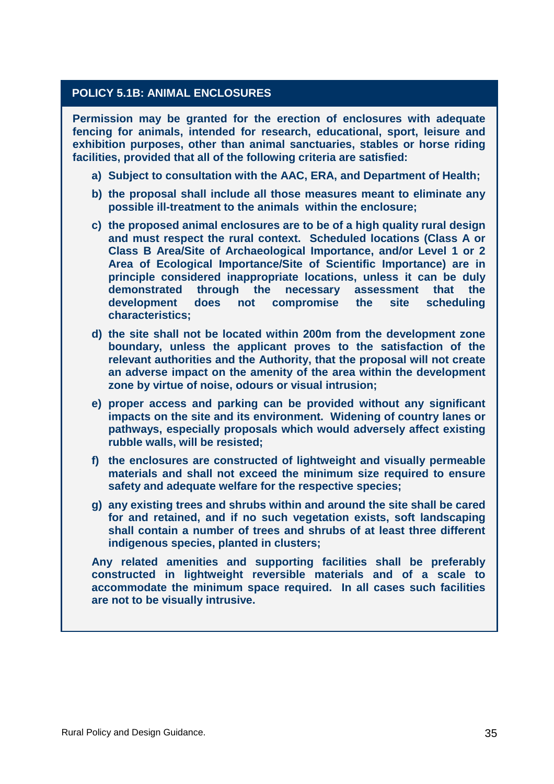#### **POLICY 5.1B: ANIMAL ENCLOSURES**

**Permission may be granted for the erection of enclosures with adequate fencing for animals, intended for research, educational, sport, leisure and exhibition purposes, other than animal sanctuaries, stables or horse riding facilities, provided that all of the following criteria are satisfied:** 

- **a) Subject to consultation with the AAC, ERA, and Department of Health;**
- **b) the proposal shall include all those measures meant to eliminate any possible ill-treatment to the animals within the enclosure;**
- **c) the proposed animal enclosures are to be of a high quality rural design and must respect the rural context. Scheduled locations (Class A or Class B Area/Site of Archaeological Importance, and/or Level 1 or 2 Area of Ecological Importance/Site of Scientific Importance) are in principle considered inappropriate locations, unless it can be duly demonstrated through the necessary assessment that the development does not compromise the site scheduling characteristics;**
- **d) the site shall not be located within 200m from the development zone boundary, unless the applicant proves to the satisfaction of the relevant authorities and the Authority, that the proposal will not create an adverse impact on the amenity of the area within the development zone by virtue of noise, odours or visual intrusion;**
- **e) proper access and parking can be provided without any significant impacts on the site and its environment. Widening of country lanes or pathways, especially proposals which would adversely affect existing rubble walls, will be resisted;**
- **f) the enclosures are constructed of lightweight and visually permeable materials and shall not exceed the minimum size required to ensure safety and adequate welfare for the respective species;**
- **g) any existing trees and shrubs within and around the site shall be cared for and retained, and if no such vegetation exists, soft landscaping shall contain a number of trees and shrubs of at least three different indigenous species, planted in clusters;**

**Any related amenities and supporting facilities shall be preferably constructed in lightweight reversible materials and of a scale to accommodate the minimum space required. In all cases such facilities are not to be visually intrusive.**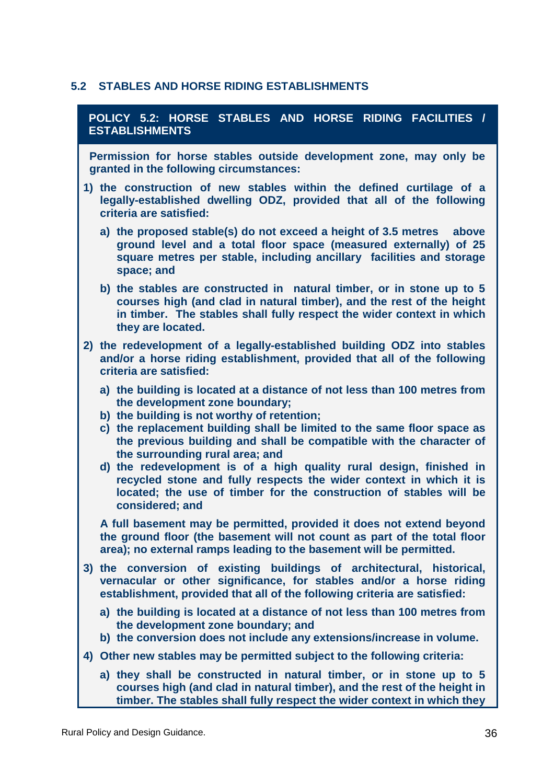#### **5.2 STABLES AND HORSE RIDING ESTABLISHMENTS**

| POLICY 5.2: HORSE STABLES AND HORSE RIDING FACILITIES /<br><b>ESTABLISHMENTS</b>                                                                                                                                                                                                                                                             |
|----------------------------------------------------------------------------------------------------------------------------------------------------------------------------------------------------------------------------------------------------------------------------------------------------------------------------------------------|
| Permission for horse stables outside development zone, may only be<br>granted in the following circumstances:                                                                                                                                                                                                                                |
| 1) the construction of new stables within the defined curtilage of a<br>legally-established dwelling ODZ, provided that all of the following<br>criteria are satisfied:                                                                                                                                                                      |
| a) the proposed stable(s) do not exceed a height of 3.5 metres above<br>ground level and a total floor space (measured externally) of 25<br>square metres per stable, including ancillary facilities and storage<br>space; and                                                                                                               |
| b) the stables are constructed in natural timber, or in stone up to 5<br>courses high (and clad in natural timber), and the rest of the height<br>in timber. The stables shall fully respect the wider context in which<br>they are located.                                                                                                 |
| 2) the redevelopment of a legally-established building ODZ into stables<br>and/or a horse riding establishment, provided that all of the following<br>criteria are satisfied:                                                                                                                                                                |
| a) the building is located at a distance of not less than 100 metres from<br>the development zone boundary;<br>b) the building is not worthy of retention;<br>c) the replacement building shall be limited to the same floor space as                                                                                                        |
| the previous building and shall be compatible with the character of<br>the surrounding rural area; and<br>d) the redevelopment is of a high quality rural design, finished in<br>recycled stone and fully respects the wider context in which it is<br>located; the use of timber for the construction of stables will be<br>considered; and |
| A full basement may be permitted, provided it does not extend beyond<br>the ground floor (the basement will not count as part of the total floor<br>area); no external ramps leading to the basement will be permitted.                                                                                                                      |
| 3) the conversion of existing buildings of architectural, historical,<br>vernacular or other significance, for stables and/or a horse riding<br>establishment, provided that all of the following criteria are satisfied:                                                                                                                    |
| a) the building is located at a distance of not less than 100 metres from<br>the development zone boundary; and<br>b) the conversion does not include any extensions/increase in volume.                                                                                                                                                     |
| 4) Other new stables may be permitted subject to the following criteria:                                                                                                                                                                                                                                                                     |
| a) they shall be constructed in natural timber, or in stone up to 5                                                                                                                                                                                                                                                                          |

**courses high (and clad in natural timber), and the rest of the height in timber. The stables shall fully respect the wider context in which they**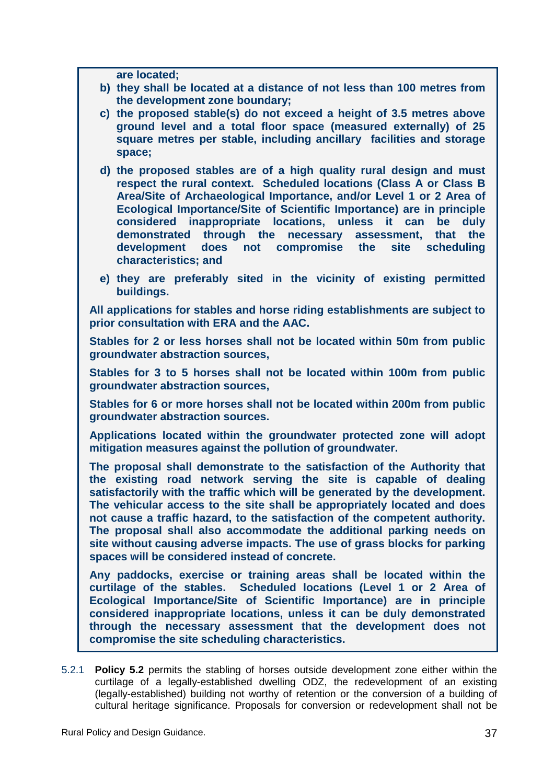**are located;** 

- **b) they shall be located at a distance of not less than 100 metres from the development zone boundary;**
- **c) the proposed stable(s) do not exceed a height of 3.5 metres above ground level and a total floor space (measured externally) of 25 square metres per stable, including ancillary facilities and storage space;**
- **d) the proposed stables are of a high quality rural design and must respect the rural context. Scheduled locations (Class A or Class B Area/Site of Archaeological Importance, and/or Level 1 or 2 Area of Ecological Importance/Site of Scientific Importance) are in principle considered inappropriate locations, unless it can be duly demonstrated through the necessary assessment, that the development does not compromise the site scheduling characteristics; and**
- **e) they are preferably sited in the vicinity of existing permitted buildings.**

**All applications for stables and horse riding establishments are subject to prior consultation with ERA and the AAC.** 

**Stables for 2 or less horses shall not be located within 50m from public groundwater abstraction sources,** 

**Stables for 3 to 5 horses shall not be located within 100m from public groundwater abstraction sources,** 

**Stables for 6 or more horses shall not be located within 200m from public groundwater abstraction sources.** 

**Applications located within the groundwater protected zone will adopt mitigation measures against the pollution of groundwater.** 

**The proposal shall demonstrate to the satisfaction of the Authority that the existing road network serving the site is capable of dealing satisfactorily with the traffic which will be generated by the development. The vehicular access to the site shall be appropriately located and does not cause a traffic hazard, to the satisfaction of the competent authority. The proposal shall also accommodate the additional parking needs on site without causing adverse impacts. The use of grass blocks for parking spaces will be considered instead of concrete.** 

**Any paddocks, exercise or training areas shall be located within the curtilage of the stables. Scheduled locations (Level 1 or 2 Area of Ecological Importance/Site of Scientific Importance) are in principle considered inappropriate locations, unless it can be duly demonstrated through the necessary assessment that the development does not compromise the site scheduling characteristics.** 

5.2.1 **Policy 5.2** permits the stabling of horses outside development zone either within the curtilage of a legally-established dwelling ODZ, the redevelopment of an existing (legally-established) building not worthy of retention or the conversion of a building of cultural heritage significance. Proposals for conversion or redevelopment shall not be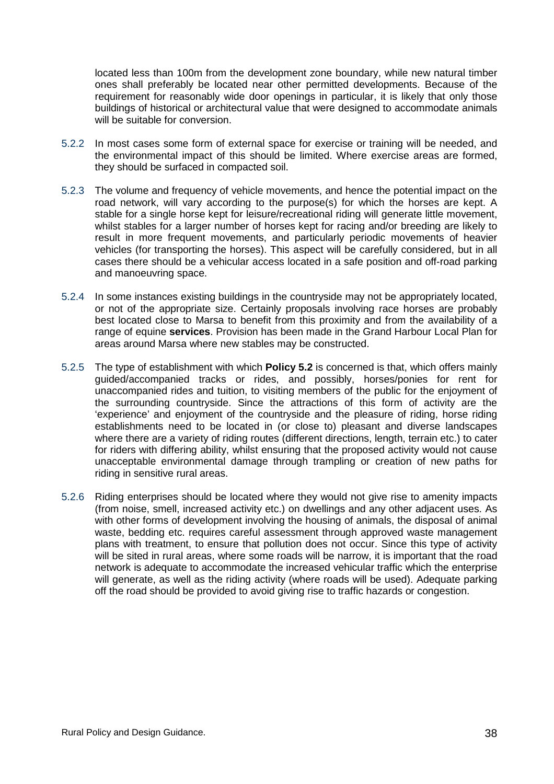located less than 100m from the development zone boundary, while new natural timber ones shall preferably be located near other permitted developments. Because of the requirement for reasonably wide door openings in particular, it is likely that only those buildings of historical or architectural value that were designed to accommodate animals will be suitable for conversion.

- 5.2.2 In most cases some form of external space for exercise or training will be needed, and the environmental impact of this should be limited. Where exercise areas are formed, they should be surfaced in compacted soil.
- 5.2.3 The volume and frequency of vehicle movements, and hence the potential impact on the road network, will vary according to the purpose(s) for which the horses are kept. A stable for a single horse kept for leisure/recreational riding will generate little movement, whilst stables for a larger number of horses kept for racing and/or breeding are likely to result in more frequent movements, and particularly periodic movements of heavier vehicles (for transporting the horses). This aspect will be carefully considered, but in all cases there should be a vehicular access located in a safe position and off-road parking and manoeuvring space.
- 5.2.4 In some instances existing buildings in the countryside may not be appropriately located, or not of the appropriate size. Certainly proposals involving race horses are probably best located close to Marsa to benefit from this proximity and from the availability of a range of equine **services**. Provision has been made in the Grand Harbour Local Plan for areas around Marsa where new stables may be constructed.
- 5.2.5 The type of establishment with which **Policy 5.2** is concerned is that, which offers mainly guided/accompanied tracks or rides, and possibly, horses/ponies for rent for unaccompanied rides and tuition, to visiting members of the public for the enjoyment of the surrounding countryside. Since the attractions of this form of activity are the 'experience' and enjoyment of the countryside and the pleasure of riding, horse riding establishments need to be located in (or close to) pleasant and diverse landscapes where there are a variety of riding routes (different directions, length, terrain etc.) to cater for riders with differing ability, whilst ensuring that the proposed activity would not cause unacceptable environmental damage through trampling or creation of new paths for riding in sensitive rural areas.
- 5.2.6 Riding enterprises should be located where they would not give rise to amenity impacts (from noise, smell, increased activity etc.) on dwellings and any other adjacent uses. As with other forms of development involving the housing of animals, the disposal of animal waste, bedding etc. requires careful assessment through approved waste management plans with treatment, to ensure that pollution does not occur. Since this type of activity will be sited in rural areas, where some roads will be narrow, it is important that the road network is adequate to accommodate the increased vehicular traffic which the enterprise will generate, as well as the riding activity (where roads will be used). Adequate parking off the road should be provided to avoid giving rise to traffic hazards or congestion.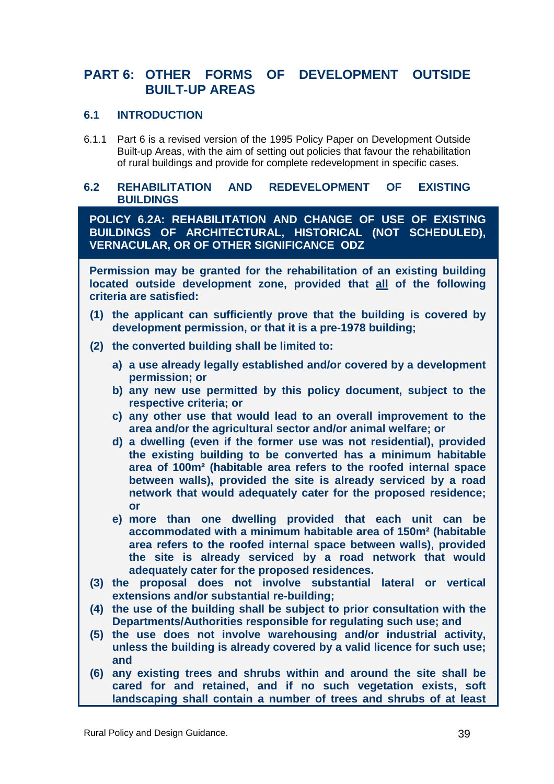## **PART 6: OTHER FORMS OF DEVELOPMENT OUTSIDE BUILT-UP AREAS**

#### **6.1 INTRODUCTION**

6.1.1 Part 6 is a revised version of the 1995 Policy Paper on Development Outside Built-up Areas, with the aim of setting out policies that favour the rehabilitation of rural buildings and provide for complete redevelopment in specific cases.

#### **6.2 REHABILITATION AND REDEVELOPMENT OF EXISTING BUILDINGS**

**POLICY 6.2A: REHABILITATION AND CHANGE OF USE OF EXISTING BUILDINGS OF ARCHITECTURAL, HISTORICAL (NOT SCHEDULED), VERNACULAR, OR OF OTHER SIGNIFICANCE ODZ** 

**Permission may be granted for the rehabilitation of an existing building located outside development zone, provided that all of the following criteria are satisfied:** 

- **(1) the applicant can sufficiently prove that the building is covered by development permission, or that it is a pre-1978 building;**
- **(2) the converted building shall be limited to:** 
	- **a) a use already legally established and/or covered by a development permission; or**
	- **b) any new use permitted by this policy document, subject to the respective criteria; or**
	- **c) any other use that would lead to an overall improvement to the area and/or the agricultural sector and/or animal welfare; or**
	- **d) a dwelling (even if the former use was not residential), provided the existing building to be converted has a minimum habitable area of 100m² (habitable area refers to the roofed internal space between walls), provided the site is already serviced by a road network that would adequately cater for the proposed residence; or**
	- **e) more than one dwelling provided that each unit can be accommodated with a minimum habitable area of 150m² (habitable area refers to the roofed internal space between walls), provided the site is already serviced by a road network that would adequately cater for the proposed residences.**
- **(3) the proposal does not involve substantial lateral or vertical extensions and/or substantial re-building;**
- **(4) the use of the building shall be subject to prior consultation with the Departments/Authorities responsible for regulating such use; and**
- **(5) the use does not involve warehousing and/or industrial activity, unless the building is already covered by a valid licence for such use; and**
- **(6) any existing trees and shrubs within and around the site shall be cared for and retained, and if no such vegetation exists, soft landscaping shall contain a number of trees and shrubs of at least**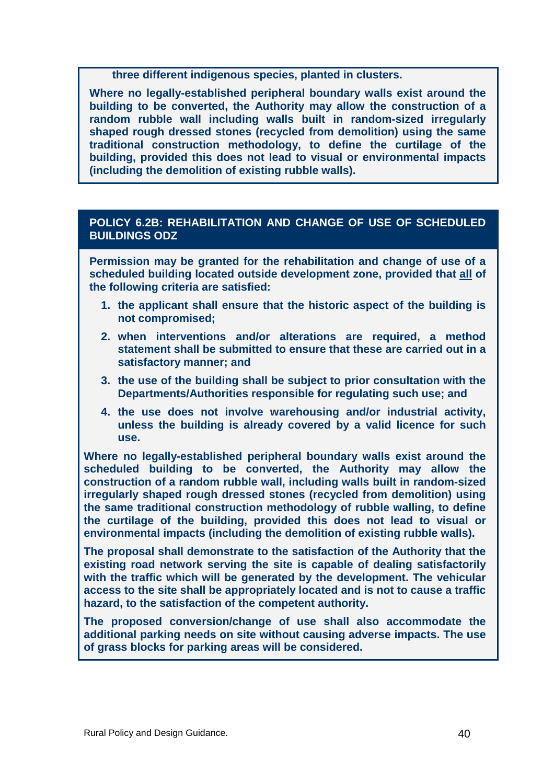**three different indigenous species, planted in clusters.** 

**Where no legally-established peripheral boundary walls exist around the building to be converted, the Authority may allow the construction of a random rubble wall including walls built in random-sized irregularly shaped rough dressed stones (recycled from demolition) using the same traditional construction methodology, to define the curtilage of the building, provided this does not lead to visual or environmental impacts (including the demolition of existing rubble walls).** 

#### **POLICY 6.2B: REHABILITATION AND CHANGE OF USE OF SCHEDULED BUILDINGS ODZ**

**Permission may be granted for the rehabilitation and change of use of a scheduled building located outside development zone, provided that all of the following criteria are satisfied:** 

- **1. the applicant shall ensure that the historic aspect of the building is not compromised;**
- **2. when interventions and/or alterations are required, a method statement shall be submitted to ensure that these are carried out in a satisfactory manner; and**
- **3. the use of the building shall be subject to prior consultation with the Departments/Authorities responsible for regulating such use; and**
- **4. the use does not involve warehousing and/or industrial activity, unless the building is already covered by a valid licence for such use.**

**Where no legally-established peripheral boundary walls exist around the scheduled building to be converted, the Authority may allow the construction of a random rubble wall, including walls built in random-sized irregularly shaped rough dressed stones (recycled from demolition) using the same traditional construction methodology of rubble walling, to define the curtilage of the building, provided this does not lead to visual or environmental impacts (including the demolition of existing rubble walls).** 

**The proposal shall demonstrate to the satisfaction of the Authority that the existing road network serving the site is capable of dealing satisfactorily with the traffic which will be generated by the development. The vehicular access to the site shall be appropriately located and is not to cause a traffic hazard, to the satisfaction of the competent authority.** 

**The proposed conversion/change of use shall also accommodate the additional parking needs on site without causing adverse impacts. The use of grass blocks for parking areas will be considered.**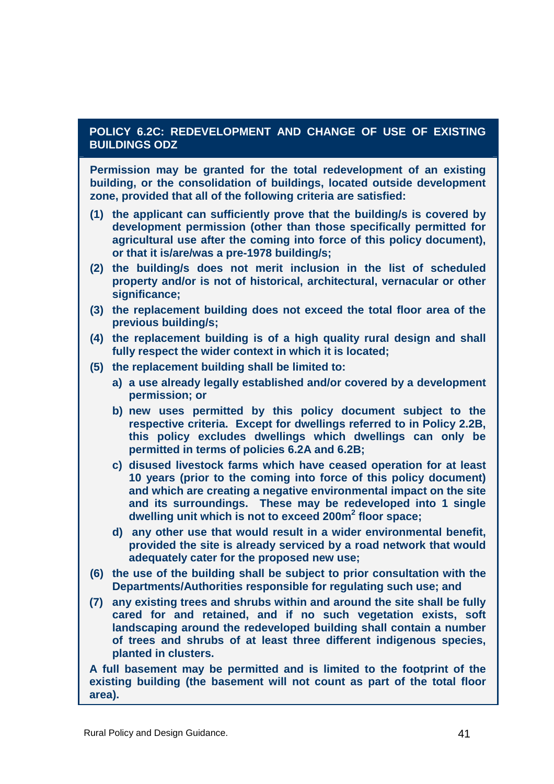#### **POLICY 6.2C: REDEVELOPMENT AND CHANGE OF USE OF EXISTING BUILDINGS ODZ**

**Permission may be granted for the total redevelopment of an existing building, or the consolidation of buildings, located outside development zone, provided that all of the following criteria are satisfied:** 

- **(1) the applicant can sufficiently prove that the building/s is covered by development permission (other than those specifically permitted for agricultural use after the coming into force of this policy document), or that it is/are/was a pre-1978 building/s;**
- **(2) the building/s does not merit inclusion in the list of scheduled property and/or is not of historical, architectural, vernacular or other significance;**
- **(3) the replacement building does not exceed the total floor area of the previous building/s;**
- **(4) the replacement building is of a high quality rural design and shall fully respect the wider context in which it is located;**
- **(5) the replacement building shall be limited to:** 
	- **a) a use already legally established and/or covered by a development permission; or**
	- **b) new uses permitted by this policy document subject to the respective criteria. Except for dwellings referred to in Policy 2.2B, this policy excludes dwellings which dwellings can only be permitted in terms of policies 6.2A and 6.2B;**
	- **c) disused livestock farms which have ceased operation for at least 10 years (prior to the coming into force of this policy document) and which are creating a negative environmental impact on the site and its surroundings. These may be redeveloped into 1 single dwelling unit which is not to exceed 200m<sup>2</sup> floor space;**
	- **d) any other use that would result in a wider environmental benefit, provided the site is already serviced by a road network that would adequately cater for the proposed new use;**
- **(6) the use of the building shall be subject to prior consultation with the Departments/Authorities responsible for regulating such use; and**
- **(7) any existing trees and shrubs within and around the site shall be fully cared for and retained, and if no such vegetation exists, soft landscaping around the redeveloped building shall contain a number of trees and shrubs of at least three different indigenous species, planted in clusters.**

**A full basement may be permitted and is limited to the footprint of the existing building (the basement will not count as part of the total floor area).**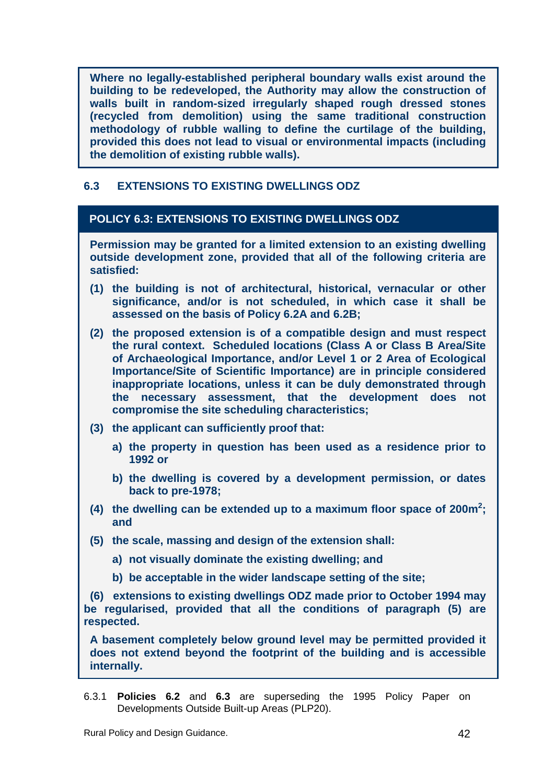**Where no legally-established peripheral boundary walls exist around the building to be redeveloped, the Authority may allow the construction of walls built in random-sized irregularly shaped rough dressed stones (recycled from demolition) using the same traditional construction methodology of rubble walling to define the curtilage of the building, provided this does not lead to visual or environmental impacts (including the demolition of existing rubble walls).** 

#### **6.3 EXTENSIONS TO EXISTING DWELLINGS ODZ**

#### **POLICY 6.3: EXTENSIONS TO EXISTING DWELLINGS ODZ**

**Permission may be granted for a limited extension to an existing dwelling outside development zone, provided that all of the following criteria are satisfied:** 

- **(1) the building is not of architectural, historical, vernacular or other significance, and/or is not scheduled, in which case it shall be assessed on the basis of Policy 6.2A and 6.2B;**
- **(2) the proposed extension is of a compatible design and must respect the rural context. Scheduled locations (Class A or Class B Area/Site of Archaeological Importance, and/or Level 1 or 2 Area of Ecological Importance/Site of Scientific Importance) are in principle considered inappropriate locations, unless it can be duly demonstrated through the necessary assessment, that the development does not compromise the site scheduling characteristics;**
- **(3) the applicant can sufficiently proof that:** 
	- **a) the property in question has been used as a residence prior to 1992 or**
	- **b) the dwelling is covered by a development permission, or dates back to pre-1978;**
- **(4) the dwelling can be extended up to a maximum floor space of 200m<sup>2</sup> ; and**
- **(5) the scale, massing and design of the extension shall:** 
	- **a) not visually dominate the existing dwelling; and**
	- **b) be acceptable in the wider landscape setting of the site;**

 **(6) extensions to existing dwellings ODZ made prior to October 1994 may be regularised, provided that all the conditions of paragraph (5) are respected.** 

**A basement completely below ground level may be permitted provided it does not extend beyond the footprint of the building and is accessible internally.** 

6.3.1 **Policies 6.2** and **6.3** are superseding the 1995 Policy Paper on Developments Outside Built-up Areas (PLP20).